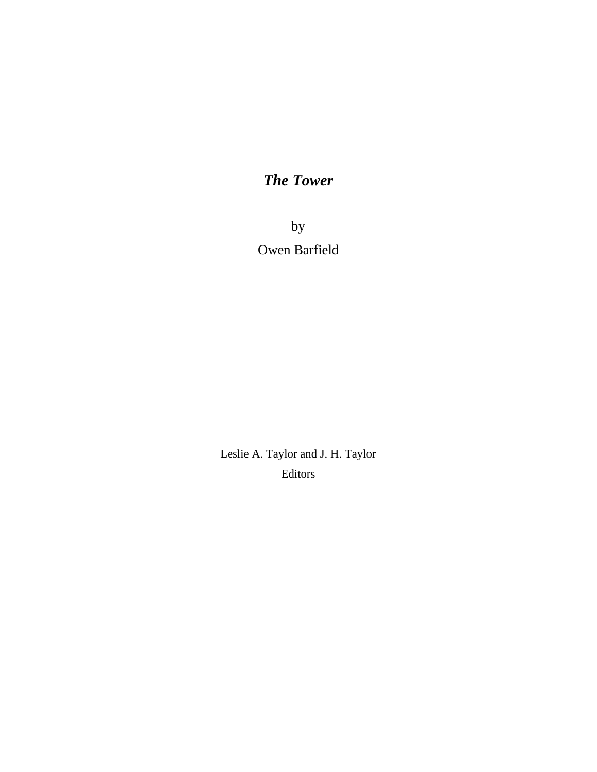# *The Tower*

by Owen Barfield

Leslie A. Taylor and J. H. Taylor Editors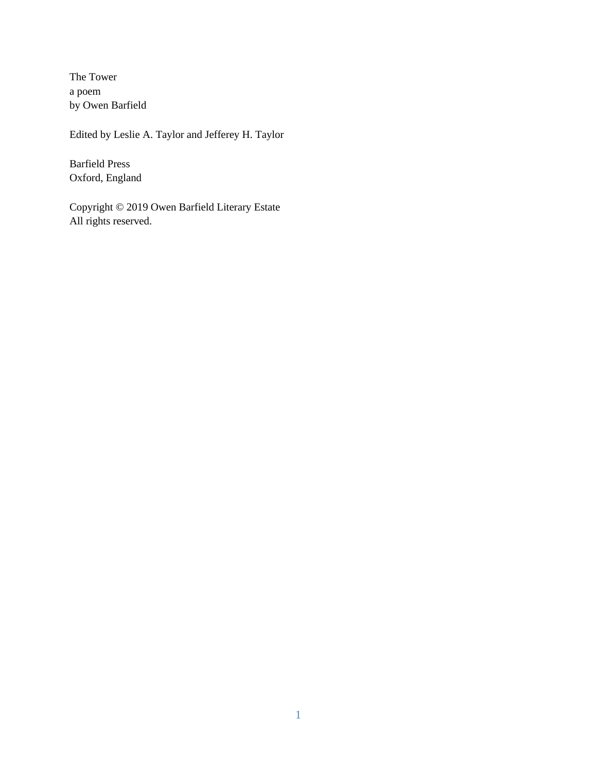The Tower a poem by Owen Barfield

Edited by Leslie A. Taylor and Jefferey H. Taylor

Barfield Press Oxford, England

Copyright © 2019 Owen Barfield Literary Estate All rights reserved.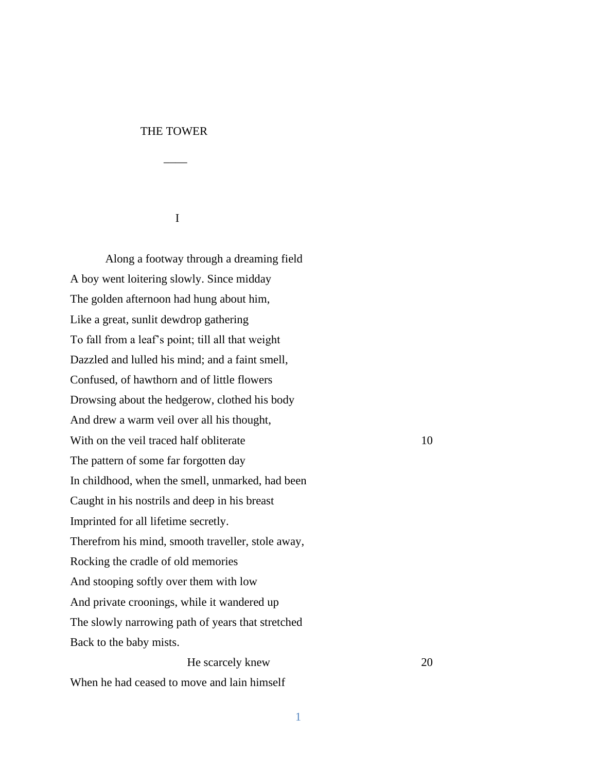## THE TOWER

 $\mathcal{L}=\frac{1}{2}$ 

I

Along a footway through a dreaming field A boy went loitering slowly. Since midday The golden afternoon had hung about him, Like a great, sunlit dewdrop gathering To fall from a leaf's point; till all that weight Dazzled and lulled his mind; and a faint smell, Confused, of hawthorn and of little flowers Drowsing about the hedgerow, clothed his body And drew a warm veil over all his thought, With on the veil traced half obliterate 10 The pattern of some far forgotten day In childhood, when the smell, unmarked, had been Caught in his nostrils and deep in his breast Imprinted for all lifetime secretly. Therefrom his mind, smooth traveller, stole away, Rocking the cradle of old memories And stooping softly over them with low And private croonings, while it wandered up The slowly narrowing path of years that stretched Back to the baby mists.

He scarcely knew 20

When he had ceased to move and lain himself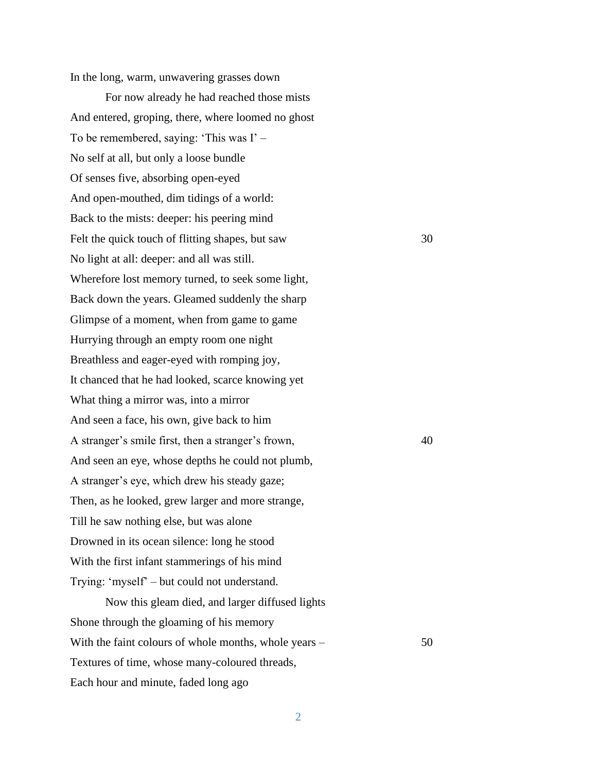In the long, warm, unwavering grasses down

For now already he had reached those mists And entered, groping, there, where loomed no ghost To be remembered, saying: 'This was I' – No self at all, but only a loose bundle Of senses five, absorbing open-eyed And open-mouthed, dim tidings of a world: Back to the mists: deeper: his peering mind Felt the quick touch of flitting shapes, but saw 30 No light at all: deeper: and all was still. Wherefore lost memory turned, to seek some light, Back down the years. Gleamed suddenly the sharp Glimpse of a moment, when from game to game Hurrying through an empty room one night Breathless and eager-eyed with romping joy, It chanced that he had looked, scarce knowing yet What thing a mirror was, into a mirror And seen a face, his own, give back to him A stranger's smile first, then a stranger's frown,  $40$ And seen an eye, whose depths he could not plumb, A stranger's eye, which drew his steady gaze; Then, as he looked, grew larger and more strange, Till he saw nothing else, but was alone Drowned in its ocean silence: long he stood With the first infant stammerings of his mind Trying: 'myself' – but could not understand.

Now this gleam died, and larger diffused lights Shone through the gloaming of his memory With the faint colours of whole months, whole years – 50 Textures of time, whose many-coloured threads, Each hour and minute, faded long ago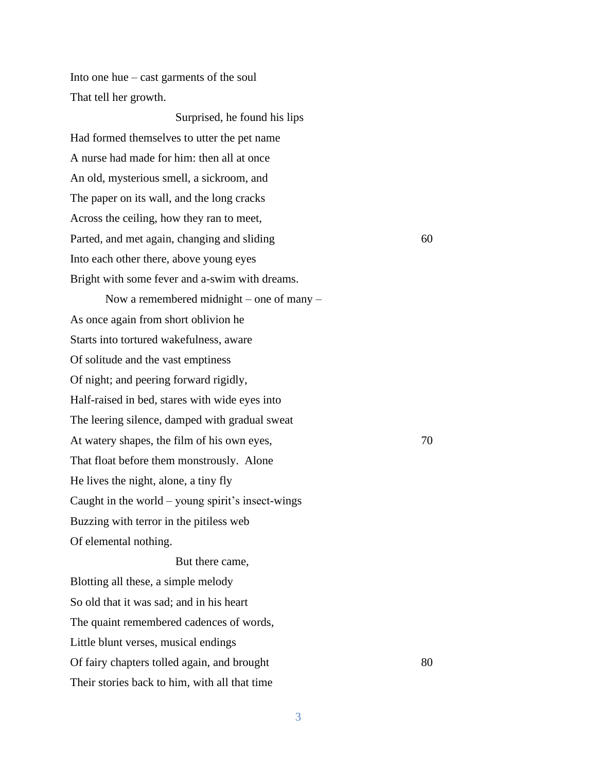Into one hue – cast garments of the soul That tell her growth.

Surprised, he found his lips Had formed themselves to utter the pet name A nurse had made for him: then all at once An old, mysterious smell, a sickroom, and The paper on its wall, and the long cracks Across the ceiling, how they ran to meet, Parted, and met again, changing and sliding 60 Into each other there, above young eyes Bright with some fever and a-swim with dreams. Now a remembered midnight – one of many – As once again from short oblivion he Starts into tortured wakefulness, aware Of solitude and the vast emptiness Of night; and peering forward rigidly, Half-raised in bed, stares with wide eyes into The leering silence, damped with gradual sweat At watery shapes, the film of his own eyes,  $70$ That float before them monstrously. Alone

He lives the night, alone, a tiny fly Caught in the world – young spirit's insect-wings Buzzing with terror in the pitiless web

Of elemental nothing.

But there came, Blotting all these, a simple melody So old that it was sad; and in his heart The quaint remembered cadences of words, Little blunt verses, musical endings Of fairy chapters tolled again, and brought 80 Their stories back to him, with all that time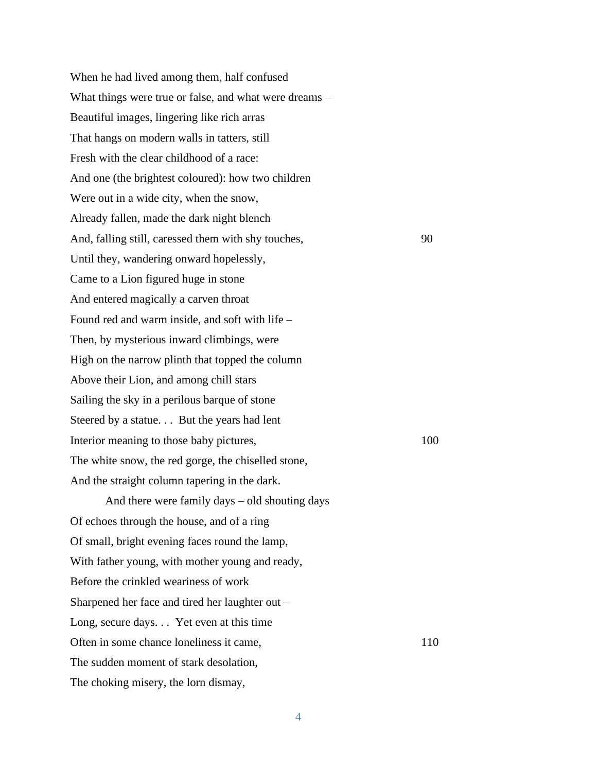When he had lived among them, half confused What things were true or false, and what were dreams – Beautiful images, lingering like rich arras That hangs on modern walls in tatters, still Fresh with the clear childhood of a race: And one (the brightest coloured): how two children Were out in a wide city, when the snow, Already fallen, made the dark night blench And, falling still, caressed them with shy touches, 90 Until they, wandering onward hopelessly, Came to a Lion figured huge in stone And entered magically a carven throat Found red and warm inside, and soft with life – Then, by mysterious inward climbings, were High on the narrow plinth that topped the column Above their Lion, and among chill stars Sailing the sky in a perilous barque of stone Steered by a statue. . . But the years had lent Interior meaning to those baby pictures, 100 The white snow, the red gorge, the chiselled stone, And the straight column tapering in the dark. And there were family days – old shouting days Of echoes through the house, and of a ring Of small, bright evening faces round the lamp,

With father young, with mother young and ready, Before the crinkled weariness of work

Sharpened her face and tired her laughter out –

Long, secure days. . . Yet even at this time Often in some chance loneliness it came, 110 The sudden moment of stark desolation, The choking misery, the lorn dismay,

4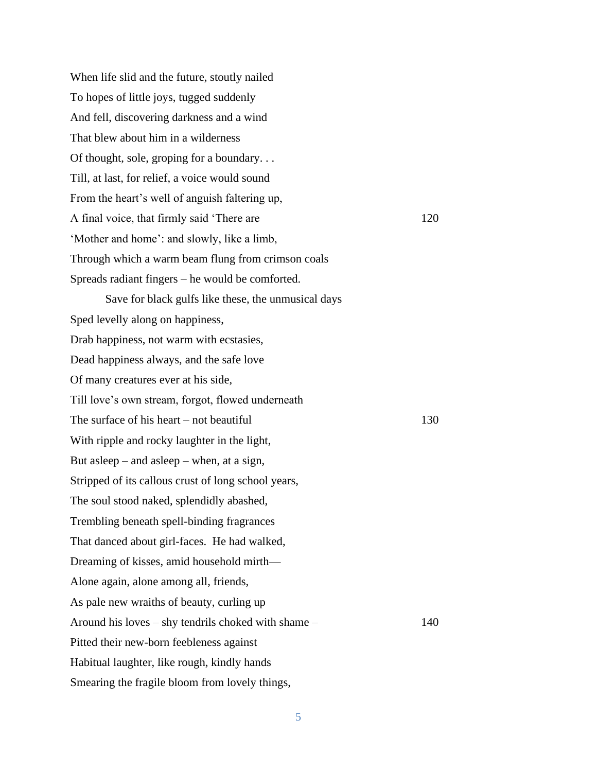When life slid and the future, stoutly nailed To hopes of little joys, tugged suddenly And fell, discovering darkness and a wind That blew about him in a wilderness Of thought, sole, groping for a boundary. . . Till, at last, for relief, a voice would sound From the heart's well of anguish faltering up, A final voice, that firmly said 'There are 120 'Mother and home': and slowly, like a limb, Through which a warm beam flung from crimson coals Spreads radiant fingers – he would be comforted. Save for black gulfs like these, the unmusical days Sped levelly along on happiness, Drab happiness, not warm with ecstasies, Dead happiness always, and the safe love Of many creatures ever at his side, Till love's own stream, forgot, flowed underneath The surface of his heart – not beautiful  $130$ With ripple and rocky laughter in the light, But asleep – and asleep – when, at a sign, Stripped of its callous crust of long school years, The soul stood naked, splendidly abashed, Trembling beneath spell-binding fragrances That danced about girl-faces. He had walked, Dreaming of kisses, amid household mirth— Alone again, alone among all, friends, As pale new wraiths of beauty, curling up Around his loves – shy tendrils choked with shame – 140 Pitted their new-born feebleness against Habitual laughter, like rough, kindly hands Smearing the fragile bloom from lovely things,

5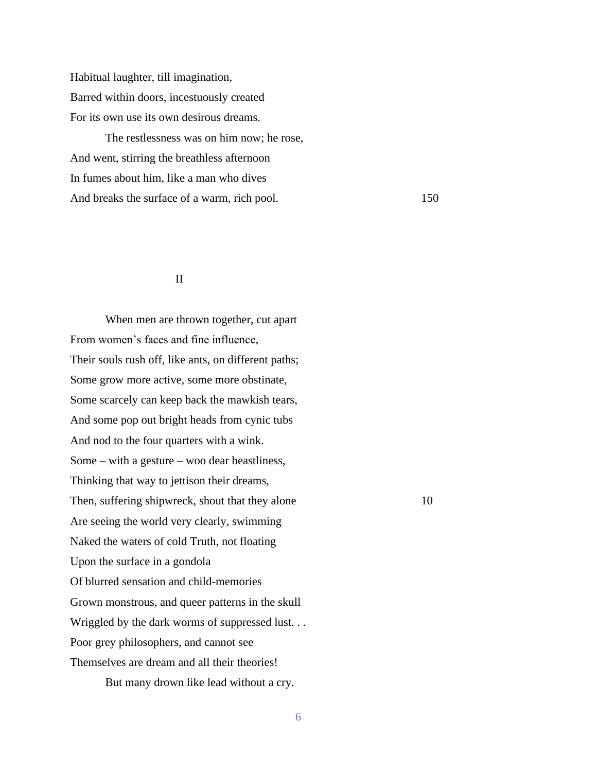Habitual laughter, till imagination, Barred within doors, incestuously created For its own use its own desirous dreams.

The restlessness was on him now; he rose, And went, stirring the breathless afternoon In fumes about him, like a man who dives And breaks the surface of a warm, rich pool. 150

## II

When men are thrown together, cut apart From women's faces and fine influence, Their souls rush off, like ants, on different paths; Some grow more active, some more obstinate, Some scarcely can keep back the mawkish tears, And some pop out bright heads from cynic tubs And nod to the four quarters with a wink. Some – with a gesture – woo dear beastliness, Thinking that way to jettison their dreams, Then, suffering shipwreck, shout that they alone 10 Are seeing the world very clearly, swimming Naked the waters of cold Truth, not floating Upon the surface in a gondola Of blurred sensation and child-memories Grown monstrous, and queer patterns in the skull Wriggled by the dark worms of suppressed lust. . . Poor grey philosophers, and cannot see Themselves are dream and all their theories! But many drown like lead without a cry.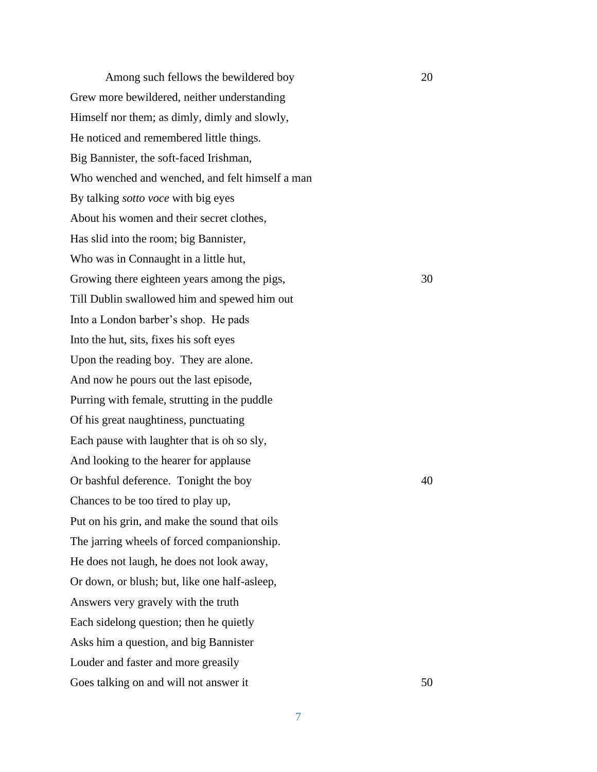Among such fellows the bewildered boy 20 Grew more bewildered, neither understanding Himself nor them; as dimly, dimly and slowly, He noticed and remembered little things. Big Bannister, the soft-faced Irishman, Who wenched and wenched, and felt himself a man By talking *sotto voce* with big eyes About his women and their secret clothes, Has slid into the room; big Bannister, Who was in Connaught in a little hut, Growing there eighteen years among the pigs, 30 Till Dublin swallowed him and spewed him out Into a London barber's shop. He pads Into the hut, sits, fixes his soft eyes Upon the reading boy. They are alone. And now he pours out the last episode, Purring with female, strutting in the puddle Of his great naughtiness, punctuating Each pause with laughter that is oh so sly, And looking to the hearer for applause Or bashful deference. Tonight the boy 40 Chances to be too tired to play up, Put on his grin, and make the sound that oils The jarring wheels of forced companionship. He does not laugh, he does not look away, Or down, or blush; but, like one half-asleep, Answers very gravely with the truth Each sidelong question; then he quietly Asks him a question, and big Bannister Louder and faster and more greasily Goes talking on and will not answer it 50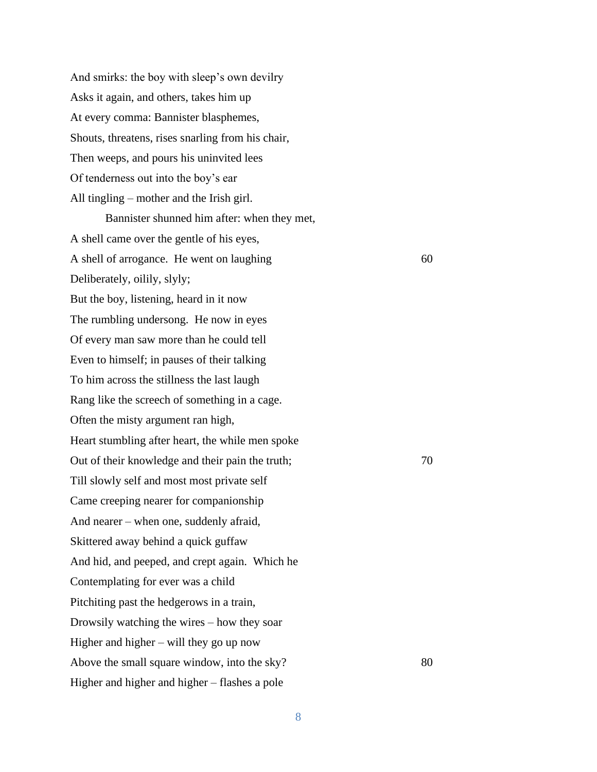And smirks: the boy with sleep's own devilry Asks it again, and others, takes him up At every comma: Bannister blasphemes, Shouts, threatens, rises snarling from his chair, Then weeps, and pours his uninvited lees Of tenderness out into the boy's ear All tingling – mother and the Irish girl. Bannister shunned him after: when they met, A shell came over the gentle of his eyes, A shell of arrogance. He went on laughing 60 Deliberately, oilily, slyly; But the boy, listening, heard in it now The rumbling undersong. He now in eyes Of every man saw more than he could tell Even to himself; in pauses of their talking To him across the stillness the last laugh Rang like the screech of something in a cage. Often the misty argument ran high, Heart stumbling after heart, the while men spoke Out of their knowledge and their pain the truth;  $70$ Till slowly self and most most private self Came creeping nearer for companionship And nearer – when one, suddenly afraid, Skittered away behind a quick guffaw And hid, and peeped, and crept again. Which he Contemplating for ever was a child Pitchiting past the hedgerows in a train, Drowsily watching the wires – how they soar Higher and higher – will they go up now Above the small square window, into the sky? 80 Higher and higher and higher – flashes a pole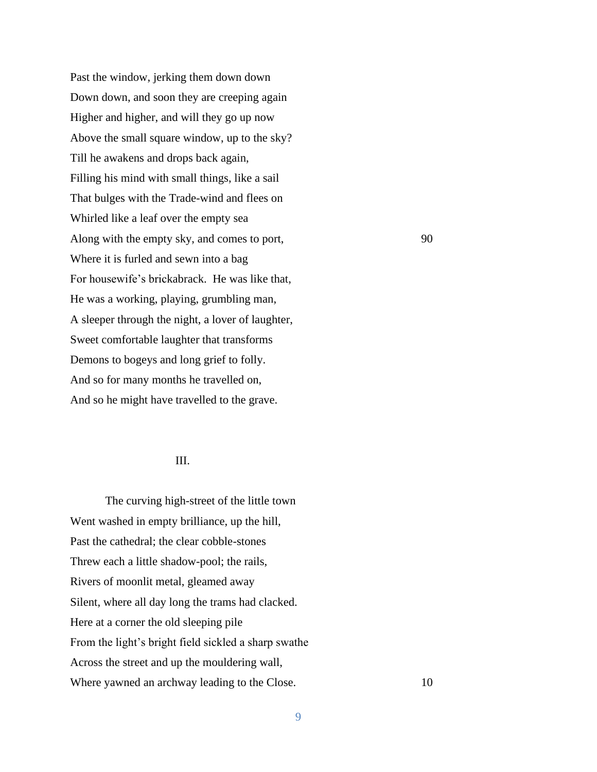Past the window, jerking them down down Down down, and soon they are creeping again Higher and higher, and will they go up now Above the small square window, up to the sky? Till he awakens and drops back again, Filling his mind with small things, like a sail That bulges with the Trade-wind and flees on Whirled like a leaf over the empty sea Along with the empty sky, and comes to port, 90 Where it is furled and sewn into a bag For housewife's brickabrack. He was like that, He was a working, playing, grumbling man, A sleeper through the night, a lover of laughter, Sweet comfortable laughter that transforms Demons to bogeys and long grief to folly. And so for many months he travelled on, And so he might have travelled to the grave.

## III.

The curving high-street of the little town Went washed in empty brilliance, up the hill, Past the cathedral; the clear cobble-stones Threw each a little shadow-pool; the rails, Rivers of moonlit metal, gleamed away Silent, where all day long the trams had clacked. Here at a corner the old sleeping pile From the light's bright field sickled a sharp swathe Across the street and up the mouldering wall, Where yawned an archway leading to the Close. 10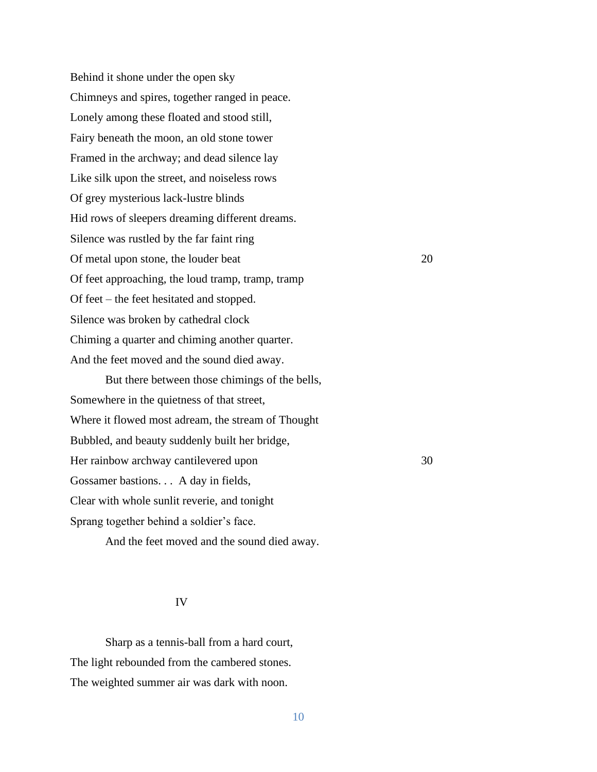Behind it shone under the open sky Chimneys and spires, together ranged in peace. Lonely among these floated and stood still, Fairy beneath the moon, an old stone tower Framed in the archway; and dead silence lay Like silk upon the street, and noiseless rows Of grey mysterious lack-lustre blinds Hid rows of sleepers dreaming different dreams. Silence was rustled by the far faint ring Of metal upon stone, the louder beat 20 Of feet approaching, the loud tramp, tramp, tramp Of feet – the feet hesitated and stopped. Silence was broken by cathedral clock Chiming a quarter and chiming another quarter. And the feet moved and the sound died away.

But there between those chimings of the bells, Somewhere in the quietness of that street, Where it flowed most adream, the stream of Thought Bubbled, and beauty suddenly built her bridge, Her rainbow archway cantilevered upon 30 Gossamer bastions. . . A day in fields, Clear with whole sunlit reverie, and tonight Sprang together behind a soldier's face.

And the feet moved and the sound died away.

## IV

Sharp as a tennis-ball from a hard court, The light rebounded from the cambered stones. The weighted summer air was dark with noon.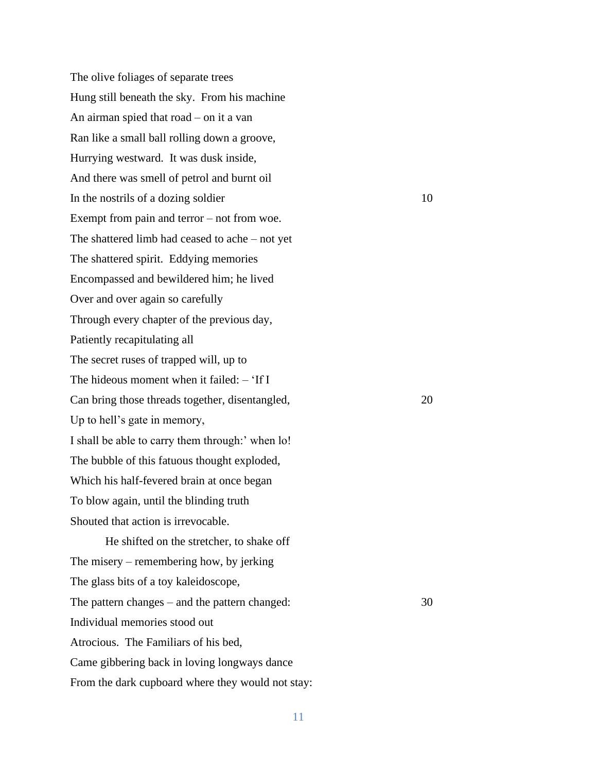The olive foliages of separate trees Hung still beneath the sky. From his machine An airman spied that road – on it a van Ran like a small ball rolling down a groove, Hurrying westward. It was dusk inside, And there was smell of petrol and burnt oil In the nostrils of a dozing soldier 10 Exempt from pain and terror – not from woe. The shattered limb had ceased to ache – not yet The shattered spirit. Eddying memories Encompassed and bewildered him; he lived Over and over again so carefully Through every chapter of the previous day, Patiently recapitulating all The secret ruses of trapped will, up to The hideous moment when it failed: – 'If I Can bring those threads together, disentangled, 20 Up to hell's gate in memory, I shall be able to carry them through:' when lo! The bubble of this fatuous thought exploded, Which his half-fevered brain at once began To blow again, until the blinding truth Shouted that action is irrevocable. He shifted on the stretcher, to shake off

The misery – remembering how, by jerking The glass bits of a toy kaleidoscope, The pattern changes – and the pattern changed: 30 Individual memories stood out Atrocious. The Familiars of his bed, Came gibbering back in loving longways dance From the dark cupboard where they would not stay: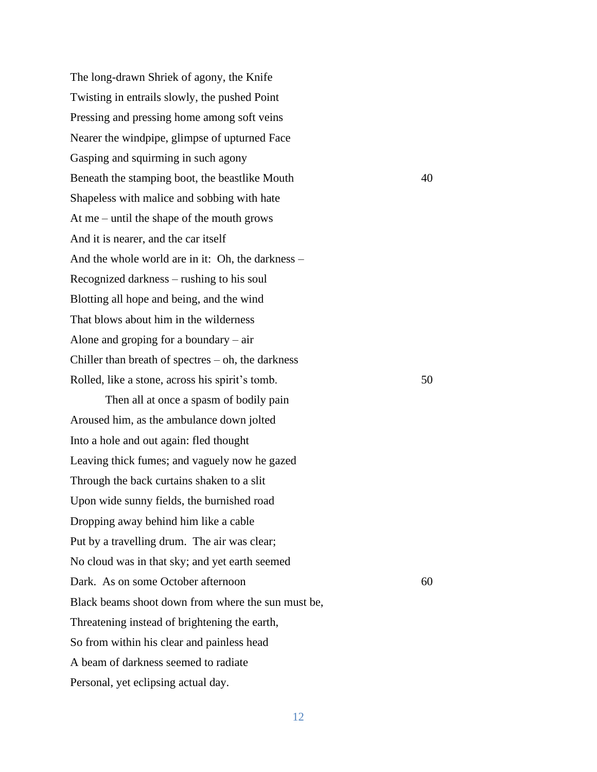The long-drawn Shriek of agony, the Knife Twisting in entrails slowly, the pushed Point Pressing and pressing home among soft veins Nearer the windpipe, glimpse of upturned Face Gasping and squirming in such agony Beneath the stamping boot, the beastlike Mouth 40 Shapeless with malice and sobbing with hate At me – until the shape of the mouth grows And it is nearer, and the car itself And the whole world are in it: Oh, the darkness – Recognized darkness – rushing to his soul Blotting all hope and being, and the wind That blows about him in the wilderness Alone and groping for a boundary – air Chiller than breath of spectres  $-$  oh, the darkness Rolled, like a stone, across his spirit's tomb. 50

Then all at once a spasm of bodily pain Aroused him, as the ambulance down jolted Into a hole and out again: fled thought Leaving thick fumes; and vaguely now he gazed Through the back curtains shaken to a slit Upon wide sunny fields, the burnished road Dropping away behind him like a cable Put by a travelling drum. The air was clear; No cloud was in that sky; and yet earth seemed Dark. As on some October afternoon 60 Black beams shoot down from where the sun must be, Threatening instead of brightening the earth, So from within his clear and painless head A beam of darkness seemed to radiate Personal, yet eclipsing actual day.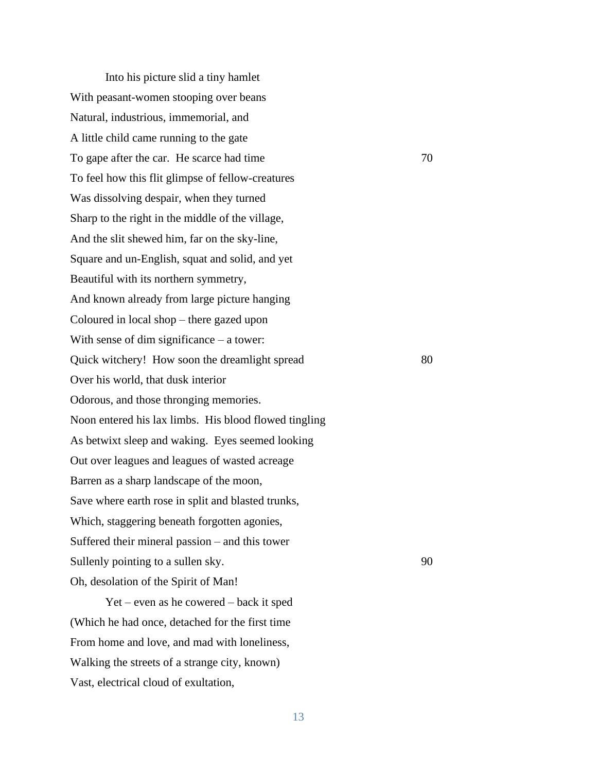Into his picture slid a tiny hamlet With peasant-women stooping over beans Natural, industrious, immemorial, and A little child came running to the gate To gape after the car. He scarce had time 70 To feel how this flit glimpse of fellow-creatures Was dissolving despair, when they turned Sharp to the right in the middle of the village, And the slit shewed him, far on the sky-line, Square and un-English, squat and solid, and yet Beautiful with its northern symmetry, And known already from large picture hanging Coloured in local shop – there gazed upon With sense of dim significance – a tower: Quick witchery! How soon the dreamlight spread 80 Over his world, that dusk interior Odorous, and those thronging memories. Noon entered his lax limbs. His blood flowed tingling As betwixt sleep and waking. Eyes seemed looking Out over leagues and leagues of wasted acreage Barren as a sharp landscape of the moon, Save where earth rose in split and blasted trunks, Which, staggering beneath forgotten agonies, Suffered their mineral passion – and this tower Sullenly pointing to a sullen sky. 90 Oh, desolation of the Spirit of Man!

Yet – even as he cowered – back it sped (Which he had once, detached for the first time From home and love, and mad with loneliness, Walking the streets of a strange city, known) Vast, electrical cloud of exultation,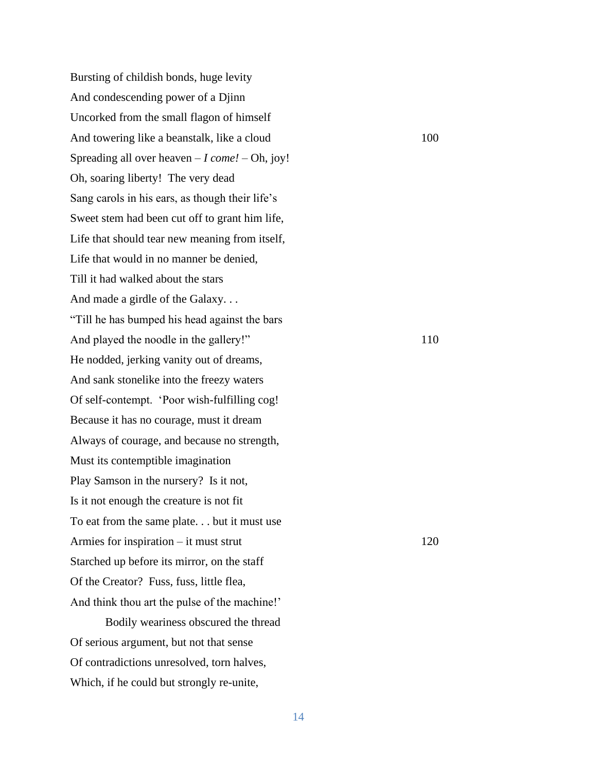Bursting of childish bonds, huge levity And condescending power of a Djinn Uncorked from the small flagon of himself And towering like a beanstalk, like a cloud 100 Spreading all over heaven – *I come!* – Oh, joy! Oh, soaring liberty! The very dead Sang carols in his ears, as though their life's Sweet stem had been cut off to grant him life, Life that should tear new meaning from itself, Life that would in no manner be denied, Till it had walked about the stars And made a girdle of the Galaxy. . . "Till he has bumped his head against the bars And played the noodle in the gallery!" 110 He nodded, jerking vanity out of dreams, And sank stonelike into the freezy waters Of self-contempt. 'Poor wish-fulfilling cog! Because it has no courage, must it dream Always of courage, and because no strength, Must its contemptible imagination Play Samson in the nursery? Is it not, Is it not enough the creature is not fit To eat from the same plate. . . but it must use Armies for inspiration – it must strut 120 Starched up before its mirror, on the staff Of the Creator? Fuss, fuss, little flea, And think thou art the pulse of the machine!' Bodily weariness obscured the thread Of serious argument, but not that sense Of contradictions unresolved, torn halves,

Which, if he could but strongly re-unite,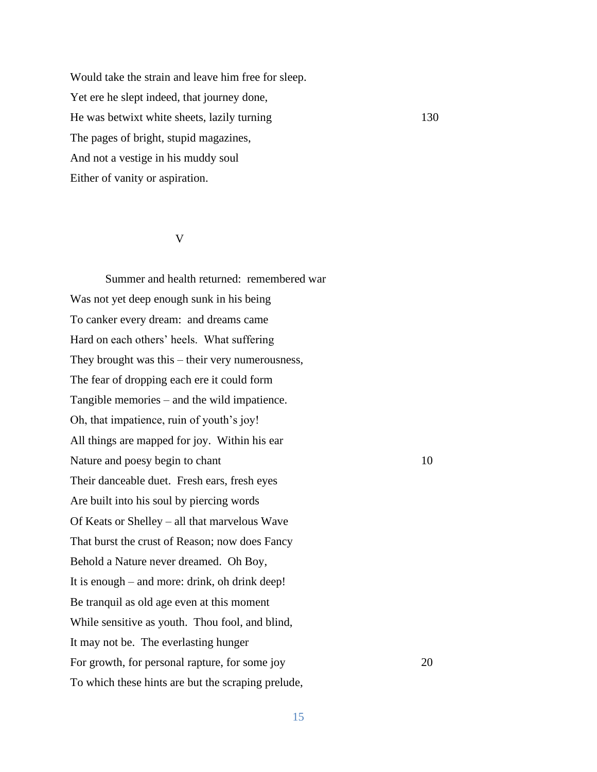Would take the strain and leave him free for sleep. Yet ere he slept indeed, that journey done, He was betwixt white sheets, lazily turning 130 The pages of bright, stupid magazines, And not a vestige in his muddy soul Either of vanity or aspiration.

## V

Summer and health returned: remembered war Was not yet deep enough sunk in his being To canker every dream: and dreams came Hard on each others' heels. What suffering They brought was this – their very numerousness, The fear of dropping each ere it could form Tangible memories – and the wild impatience. Oh, that impatience, ruin of youth's joy! All things are mapped for joy. Within his ear Nature and poesy begin to chant 10 Their danceable duet. Fresh ears, fresh eyes Are built into his soul by piercing words Of Keats or Shelley – all that marvelous Wave That burst the crust of Reason; now does Fancy Behold a Nature never dreamed. Oh Boy, It is enough – and more: drink, oh drink deep! Be tranquil as old age even at this moment While sensitive as youth. Thou fool, and blind, It may not be. The everlasting hunger For growth, for personal rapture, for some joy 20 To which these hints are but the scraping prelude,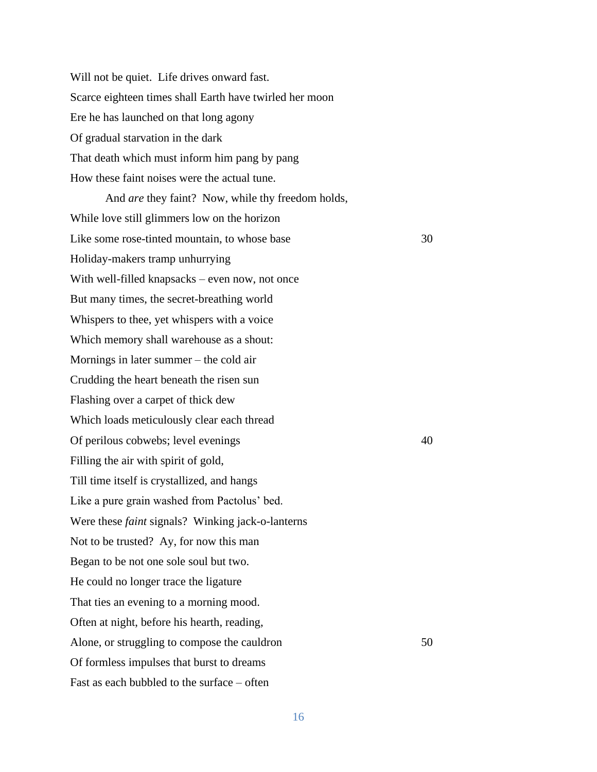Will not be quiet. Life drives onward fast. Scarce eighteen times shall Earth have twirled her moon Ere he has launched on that long agony Of gradual starvation in the dark That death which must inform him pang by pang How these faint noises were the actual tune.

And *are* they faint? Now, while thy freedom holds, While love still glimmers low on the horizon Like some rose-tinted mountain, to whose base 30 Holiday-makers tramp unhurrying With well-filled knapsacks – even now, not once But many times, the secret-breathing world Whispers to thee, yet whispers with a voice Which memory shall warehouse as a shout: Mornings in later summer – the cold air Crudding the heart beneath the risen sun Flashing over a carpet of thick dew Which loads meticulously clear each thread Of perilous cobwebs; level evenings 40 Filling the air with spirit of gold, Till time itself is crystallized, and hangs Like a pure grain washed from Pactolus' bed. Were these *faint* signals? Winking jack-o-lanterns Not to be trusted? Ay, for now this man Began to be not one sole soul but two. He could no longer trace the ligature That ties an evening to a morning mood. Often at night, before his hearth, reading, Alone, or struggling to compose the cauldron 50 Of formless impulses that burst to dreams Fast as each bubbled to the surface – often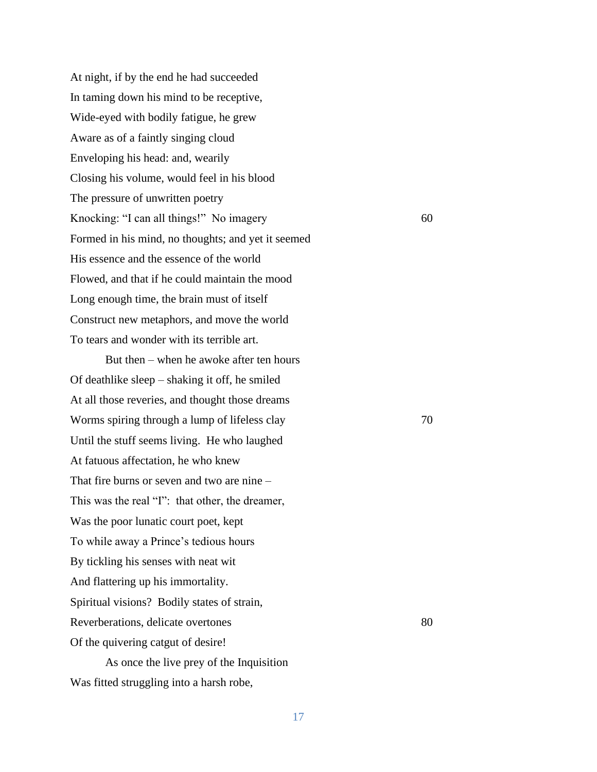At night, if by the end he had succeeded In taming down his mind to be receptive, Wide-eyed with bodily fatigue, he grew Aware as of a faintly singing cloud Enveloping his head: and, wearily Closing his volume, would feel in his blood The pressure of unwritten poetry Knocking: "I can all things!" No imagery 60 Formed in his mind, no thoughts; and yet it seemed His essence and the essence of the world Flowed, and that if he could maintain the mood Long enough time, the brain must of itself Construct new metaphors, and move the world To tears and wonder with its terrible art.

But then – when he awoke after ten hours Of deathlike sleep – shaking it off, he smiled At all those reveries, and thought those dreams Worms spiring through a lump of lifeless clay 70 Until the stuff seems living. He who laughed At fatuous affectation, he who knew That fire burns or seven and two are nine – This was the real "I": that other, the dreamer, Was the poor lunatic court poet, kept To while away a Prince's tedious hours By tickling his senses with neat wit And flattering up his immortality. Spiritual visions? Bodily states of strain, Reverberations, delicate overtones 80 Of the quivering catgut of desire! As once the live prey of the Inquisition

Was fitted struggling into a harsh robe,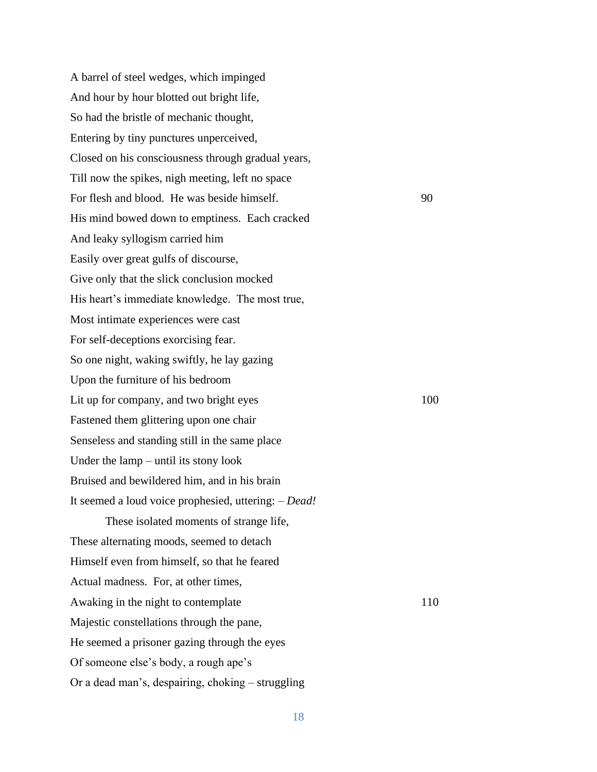A barrel of steel wedges, which impinged And hour by hour blotted out bright life, So had the bristle of mechanic thought, Entering by tiny punctures unperceived, Closed on his consciousness through gradual years, Till now the spikes, nigh meeting, left no space For flesh and blood. He was beside himself. 90 His mind bowed down to emptiness. Each cracked And leaky syllogism carried him Easily over great gulfs of discourse, Give only that the slick conclusion mocked His heart's immediate knowledge. The most true, Most intimate experiences were cast For self-deceptions exorcising fear. So one night, waking swiftly, he lay gazing Upon the furniture of his bedroom Lit up for company, and two bright eyes 100 Fastened them glittering upon one chair Senseless and standing still in the same place Under the lamp – until its stony look Bruised and bewildered him, and in his brain It seemed a loud voice prophesied, uttering: – *Dead!* These isolated moments of strange life, These alternating moods, seemed to detach Himself even from himself, so that he feared Actual madness. For, at other times, Awaking in the night to contemplate 110 Majestic constellations through the pane, He seemed a prisoner gazing through the eyes Of someone else's body, a rough ape's Or a dead man's, despairing, choking – struggling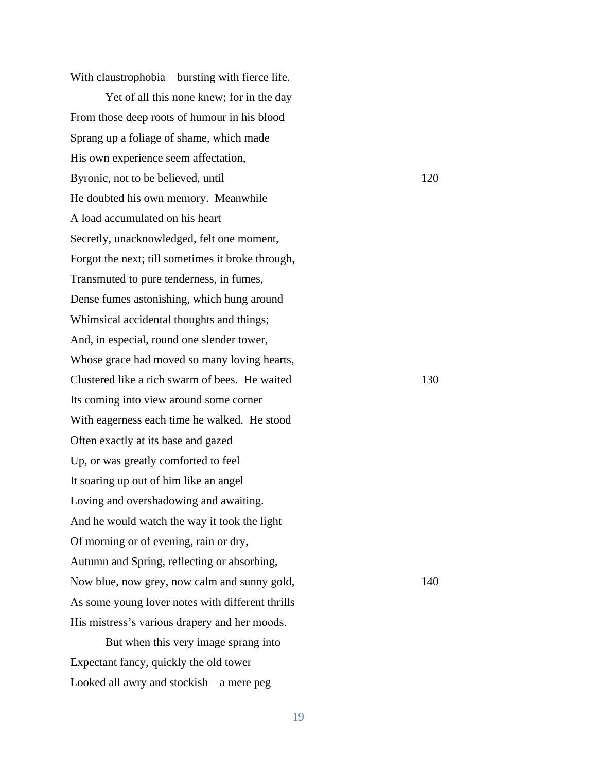With claustrophobia – bursting with fierce life.

Yet of all this none knew; for in the day From those deep roots of humour in his blood Sprang up a foliage of shame, which made His own experience seem affectation, Byronic, not to be believed, until 120 He doubted his own memory. Meanwhile A load accumulated on his heart Secretly, unacknowledged, felt one moment, Forgot the next; till sometimes it broke through, Transmuted to pure tenderness, in fumes, Dense fumes astonishing, which hung around Whimsical accidental thoughts and things; And, in especial, round one slender tower, Whose grace had moved so many loving hearts, Clustered like a rich swarm of bees. He waited 130 Its coming into view around some corner With eagerness each time he walked. He stood Often exactly at its base and gazed Up, or was greatly comforted to feel It soaring up out of him like an angel Loving and overshadowing and awaiting. And he would watch the way it took the light Of morning or of evening, rain or dry, Autumn and Spring, reflecting or absorbing, Now blue, now grey, now calm and sunny gold, 140 As some young lover notes with different thrills His mistress's various drapery and her moods.

But when this very image sprang into Expectant fancy, quickly the old tower Looked all awry and stockish – a mere peg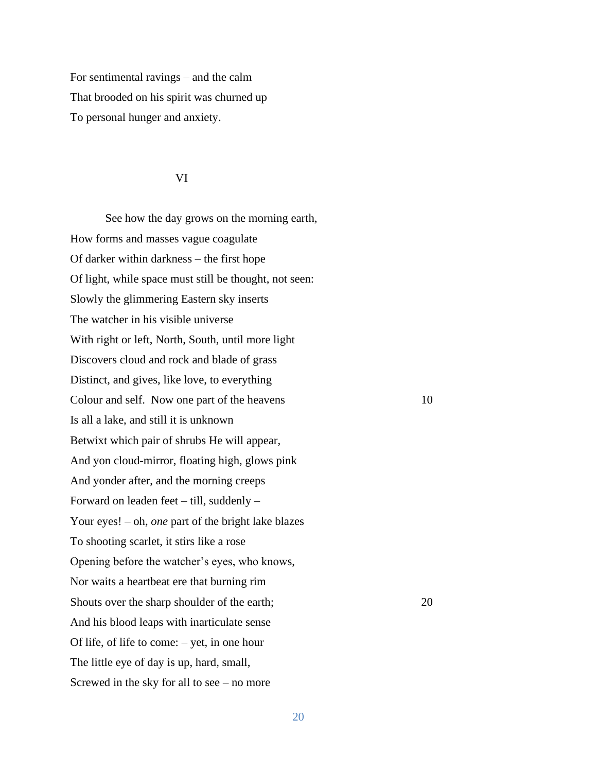For sentimental ravings – and the calm That brooded on his spirit was churned up To personal hunger and anxiety.

## VI

See how the day grows on the morning earth, How forms and masses vague coagulate Of darker within darkness – the first hope Of light, while space must still be thought, not seen: Slowly the glimmering Eastern sky inserts The watcher in his visible universe With right or left, North, South, until more light Discovers cloud and rock and blade of grass Distinct, and gives, like love, to everything Colour and self. Now one part of the heavens 10 Is all a lake, and still it is unknown Betwixt which pair of shrubs He will appear, And yon cloud-mirror, floating high, glows pink And yonder after, and the morning creeps Forward on leaden feet – till, suddenly – Your eyes! – oh, *one* part of the bright lake blazes To shooting scarlet, it stirs like a rose Opening before the watcher's eyes, who knows, Nor waits a heartbeat ere that burning rim Shouts over the sharp shoulder of the earth; 20 And his blood leaps with inarticulate sense Of life, of life to come: – yet, in one hour The little eye of day is up, hard, small, Screwed in the sky for all to see – no more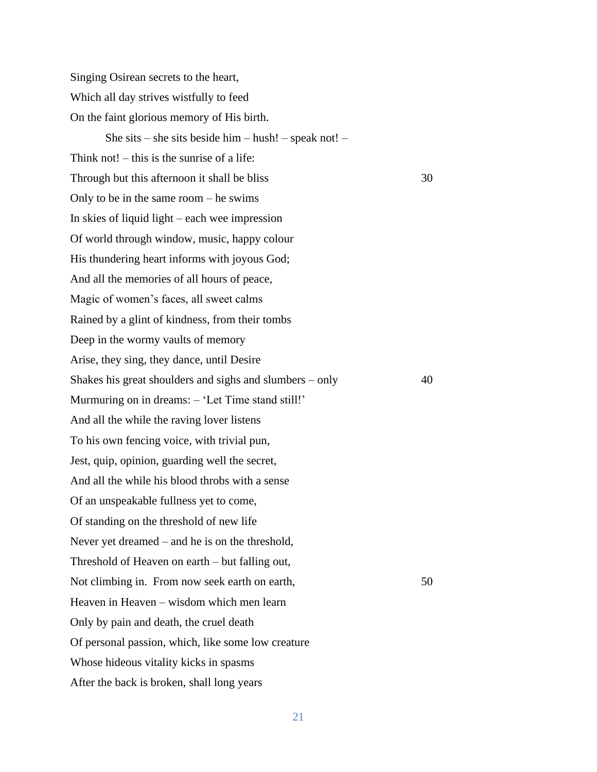Singing Osirean secrets to the heart, Which all day strives wistfully to feed On the faint glorious memory of His birth. She sits – she sits beside him – hush! – speak not! – Think not! – this is the sunrise of a life: Through but this afternoon it shall be bliss 30 Only to be in the same room – he swims In skies of liquid light – each wee impression Of world through window, music, happy colour His thundering heart informs with joyous God; And all the memories of all hours of peace, Magic of women's faces, all sweet calms Rained by a glint of kindness, from their tombs Deep in the wormy vaults of memory Arise, they sing, they dance, until Desire Shakes his great shoulders and sighs and slumbers – only 40 Murmuring on in dreams: – 'Let Time stand still!' And all the while the raving lover listens To his own fencing voice, with trivial pun, Jest, quip, opinion, guarding well the secret, And all the while his blood throbs with a sense Of an unspeakable fullness yet to come, Of standing on the threshold of new life Never yet dreamed – and he is on the threshold, Threshold of Heaven on earth – but falling out, Not climbing in. From now seek earth on earth, 50 Heaven in Heaven – wisdom which men learn Only by pain and death, the cruel death Of personal passion, which, like some low creature Whose hideous vitality kicks in spasms After the back is broken, shall long years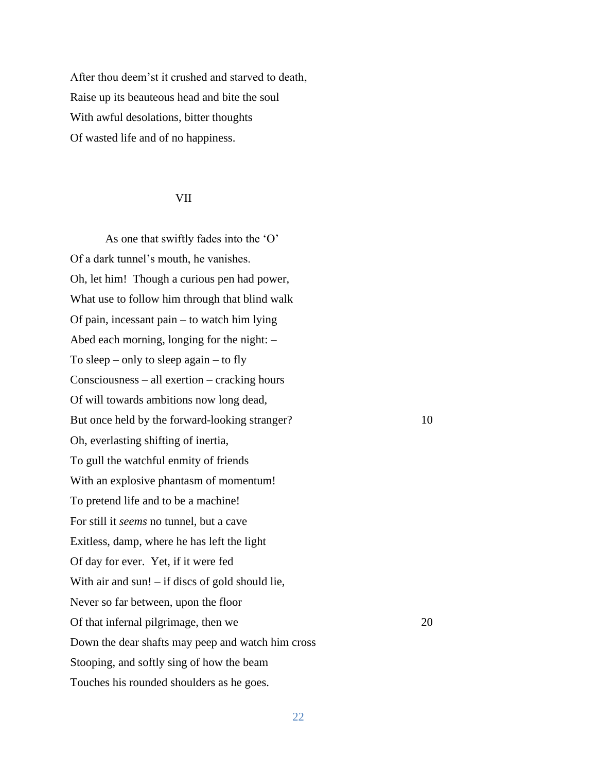After thou deem'st it crushed and starved to death, Raise up its beauteous head and bite the soul With awful desolations, bitter thoughts Of wasted life and of no happiness.

## VII

As one that swiftly fades into the 'O' Of a dark tunnel's mouth, he vanishes. Oh, let him! Though a curious pen had power, What use to follow him through that blind walk Of pain, incessant pain – to watch him lying Abed each morning, longing for the night: – To sleep – only to sleep again – to fly Consciousness – all exertion – cracking hours Of will towards ambitions now long dead, But once held by the forward-looking stranger? 10 Oh, everlasting shifting of inertia, To gull the watchful enmity of friends With an explosive phantasm of momentum! To pretend life and to be a machine! For still it *seems* no tunnel, but a cave Exitless, damp, where he has left the light Of day for ever. Yet, if it were fed With air and sun! – if discs of gold should lie, Never so far between, upon the floor Of that infernal pilgrimage, then we 20 Down the dear shafts may peep and watch him cross Stooping, and softly sing of how the beam Touches his rounded shoulders as he goes.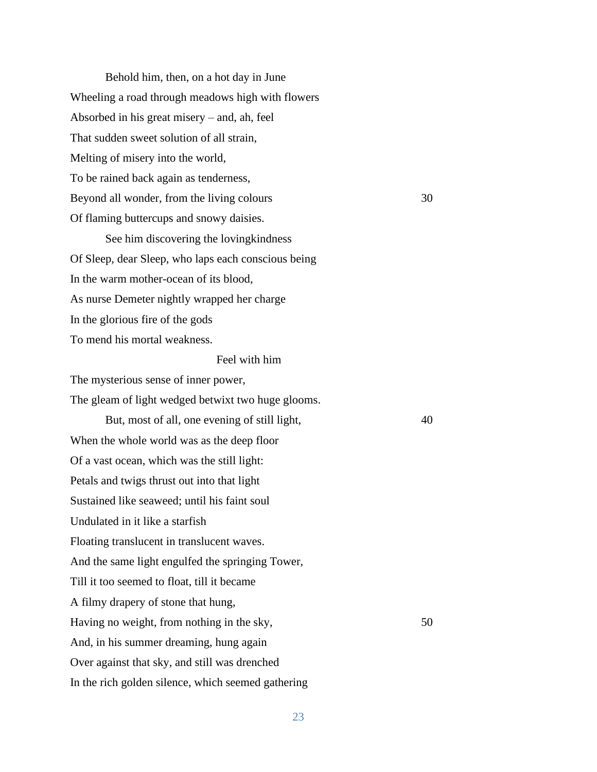Behold him, then, on a hot day in June Wheeling a road through meadows high with flowers Absorbed in his great misery – and, ah, feel That sudden sweet solution of all strain, Melting of misery into the world, To be rained back again as tenderness, Beyond all wonder, from the living colours 30 Of flaming buttercups and snowy daisies.

See him discovering the lovingkindness Of Sleep, dear Sleep, who laps each conscious being In the warm mother-ocean of its blood, As nurse Demeter nightly wrapped her charge In the glorious fire of the gods To mend his mortal weakness.

## Feel with him

The mysterious sense of inner power,

The gleam of light wedged betwixt two huge glooms.

But, most of all, one evening of still light,  $40$ When the whole world was as the deep floor Of a vast ocean, which was the still light: Petals and twigs thrust out into that light Sustained like seaweed; until his faint soul Undulated in it like a starfish Floating translucent in translucent waves. And the same light engulfed the springing Tower, Till it too seemed to float, till it became A filmy drapery of stone that hung, Having no weight, from nothing in the sky, 50 And, in his summer dreaming, hung again Over against that sky, and still was drenched In the rich golden silence, which seemed gathering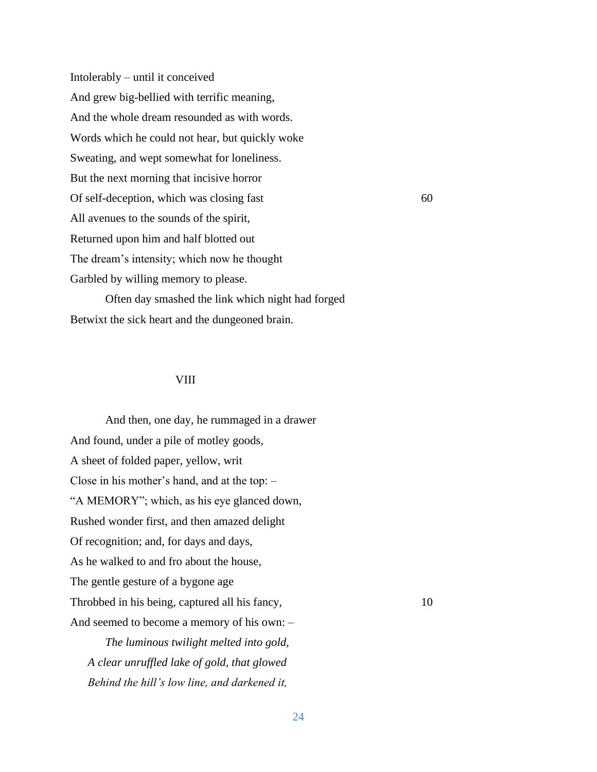Intolerably – until it conceived And grew big-bellied with terrific meaning, And the whole dream resounded as with words. Words which he could not hear, but quickly woke Sweating, and wept somewhat for loneliness. But the next morning that incisive horror Of self-deception, which was closing fast 60 All avenues to the sounds of the spirit, Returned upon him and half blotted out The dream's intensity; which now he thought Garbled by willing memory to please. Often day smashed the link which night had forged

Betwixt the sick heart and the dungeoned brain.

### VIII

And then, one day, he rummaged in a drawer And found, under a pile of motley goods, A sheet of folded paper, yellow, writ Close in his mother's hand, and at the top: – "A MEMORY"; which, as his eye glanced down, Rushed wonder first, and then amazed delight Of recognition; and, for days and days, As he walked to and fro about the house, The gentle gesture of a bygone age Throbbed in his being, captured all his fancy, 10 And seemed to become a memory of his own: – *The luminous twilight melted into gold, A clear unruffled lake of gold, that glowed Behind the hill's low line, and darkened it,*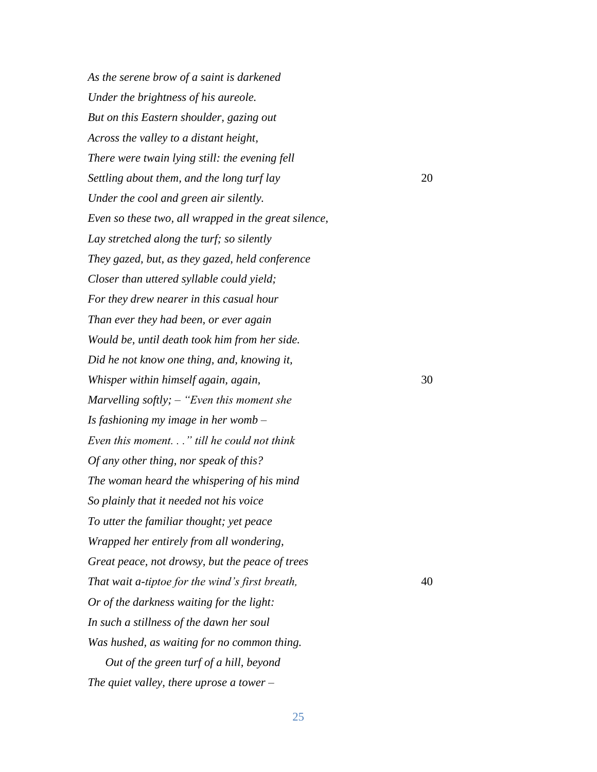*As the serene brow of a saint is darkened Under the brightness of his aureole. But on this Eastern shoulder, gazing out Across the valley to a distant height, There were twain lying still: the evening fell Settling about them, and the long turf lay* 20 *Under the cool and green air silently. Even so these two, all wrapped in the great silence, Lay stretched along the turf; so silently They gazed, but, as they gazed, held conference Closer than uttered syllable could yield; For they drew nearer in this casual hour Than ever they had been, or ever again Would be, until death took him from her side. Did he not know one thing, and, knowing it, Whisper within himself again, again,*  $\frac{1}{2}$  30 *Marvelling softly; – "Even this moment she Is fashioning my image in her womb – Even this moment. . ." till he could not think Of any other thing, nor speak of this? The woman heard the whispering of his mind So plainly that it needed not his voice To utter the familiar thought; yet peace Wrapped her entirely from all wondering, Great peace, not drowsy, but the peace of trees That wait a-tiptoe for the wind's first breath,* 40 *Or of the darkness waiting for the light: In such a stillness of the dawn her soul Was hushed, as waiting for no common thing. Out of the green turf of a hill, beyond The quiet valley, there uprose a tower –*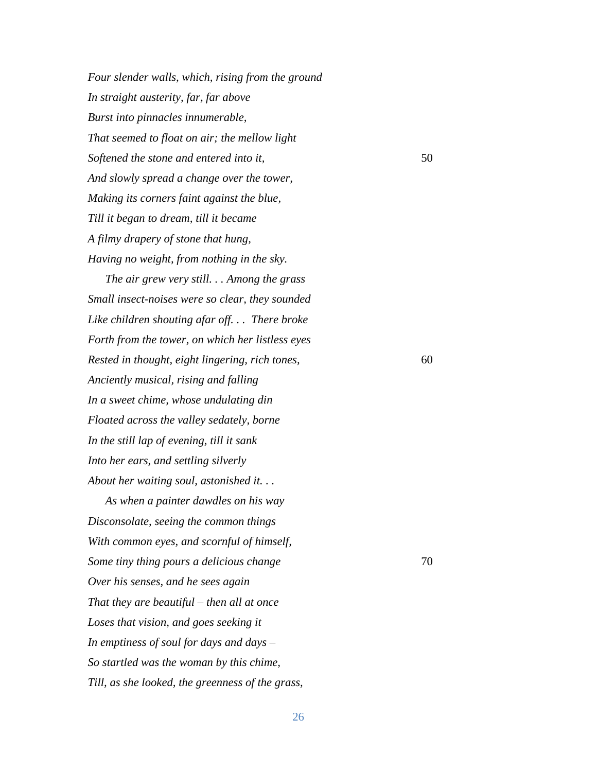*Four slender walls, which, rising from the ground In straight austerity, far, far above Burst into pinnacles innumerable, That seemed to float on air; the mellow light Softened the stone and entered into it,* 50 *And slowly spread a change over the tower, Making its corners faint against the blue, Till it began to dream, till it became A filmy drapery of stone that hung, Having no weight, from nothing in the sky.*

*The air grew very still. . . Among the grass Small insect-noises were so clear, they sounded Like children shouting afar off. . . There broke Forth from the tower, on which her listless eyes Rested in thought, eight lingering, rich tones,* 60 *Anciently musical, rising and falling In a sweet chime, whose undulating din Floated across the valley sedately, borne In the still lap of evening, till it sank Into her ears, and settling silverly About her waiting soul, astonished it. . .*

*As when a painter dawdles on his way Disconsolate, seeing the common things With common eyes, and scornful of himself, Some tiny thing pours a delicious change*  $\frac{70}{2}$ *Over his senses, and he sees again That they are beautiful – then all at once Loses that vision, and goes seeking it In emptiness of soul for days and days – So startled was the woman by this chime, Till, as she looked, the greenness of the grass,*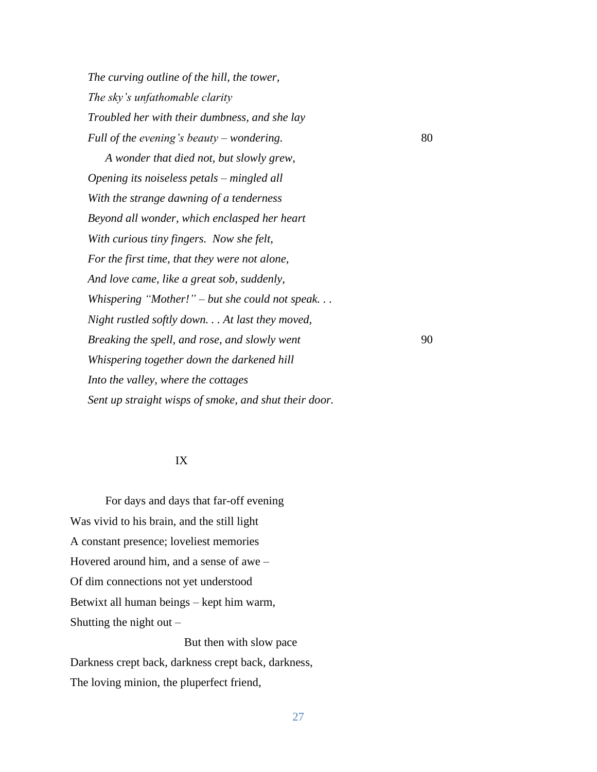*The curving outline of the hill, the tower, The sky's unfathomable clarity Troubled her with their dumbness, and she lay Full of the evening's beauty – wondering.* 80

*A wonder that died not, but slowly grew, Opening its noiseless petals – mingled all With the strange dawning of a tenderness Beyond all wonder, which enclasped her heart With curious tiny fingers. Now she felt, For the first time, that they were not alone, And love came, like a great sob, suddenly, Whispering "Mother!" – but she could not speak. . . Night rustled softly down. . . At last they moved, Breaking the spell, and rose, and slowly went* 90 *Whispering together down the darkened hill Into the valley, where the cottages Sent up straight wisps of smoke, and shut their door.*

### IX

For days and days that far-off evening Was vivid to his brain, and the still light A constant presence; loveliest memories Hovered around him, and a sense of awe – Of dim connections not yet understood Betwixt all human beings – kept him warm, Shutting the night out  $-$ 

 But then with slow pace Darkness crept back, darkness crept back, darkness, The loving minion, the pluperfect friend,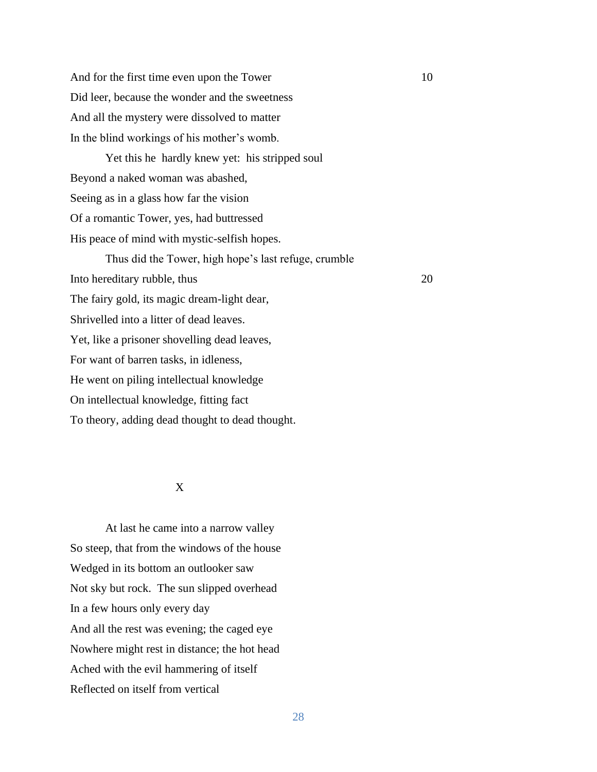And for the first time even upon the Tower 10 Did leer, because the wonder and the sweetness And all the mystery were dissolved to matter In the blind workings of his mother's womb.

Yet this he hardly knew yet: his stripped soul Beyond a naked woman was abashed, Seeing as in a glass how far the vision Of a romantic Tower, yes, had buttressed His peace of mind with mystic-selfish hopes. Thus did the Tower, high hope's last refuge, crumble Into hereditary rubble, thus 20 The fairy gold, its magic dream-light dear, Shrivelled into a litter of dead leaves. Yet, like a prisoner shovelling dead leaves, For want of barren tasks, in idleness, He went on piling intellectual knowledge On intellectual knowledge, fitting fact To theory, adding dead thought to dead thought.

## X

At last he came into a narrow valley So steep, that from the windows of the house Wedged in its bottom an outlooker saw Not sky but rock. The sun slipped overhead In a few hours only every day And all the rest was evening; the caged eye Nowhere might rest in distance; the hot head Ached with the evil hammering of itself Reflected on itself from vertical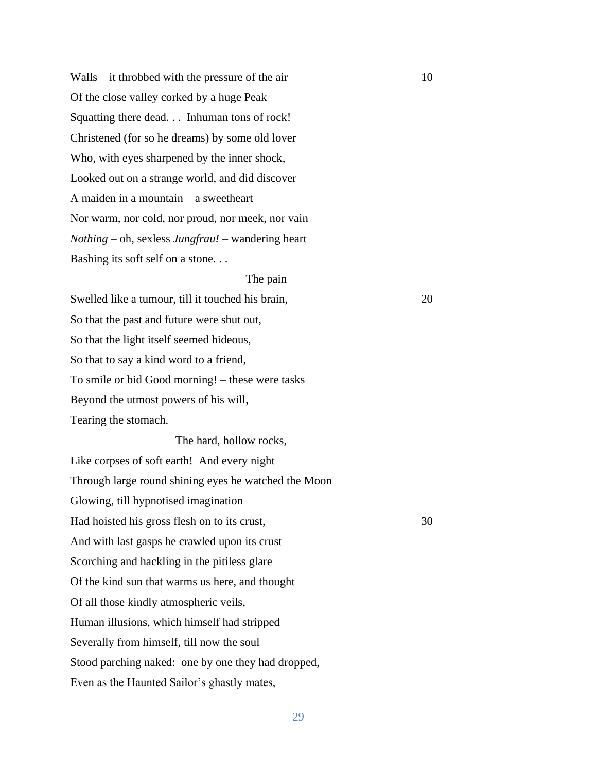$Walls - it$  throbbed with the pressure of the air  $10$ Of the close valley corked by a huge Peak Squatting there dead. . . Inhuman tons of rock! Christened (for so he dreams) by some old lover Who, with eyes sharpened by the inner shock, Looked out on a strange world, and did discover A maiden in a mountain – a sweetheart Nor warm, nor cold, nor proud, nor meek, nor vain – *Nothing* – oh, sexless *Jungfrau!* – wandering heart Bashing its soft self on a stone. . .

## The pain

Swelled like a tumour, till it touched his brain, 20 So that the past and future were shut out, So that the light itself seemed hideous, So that to say a kind word to a friend, To smile or bid Good morning! – these were tasks Beyond the utmost powers of his will, Tearing the stomach.

The hard, hollow rocks, Like corpses of soft earth! And every night Through large round shining eyes he watched the Moon Glowing, till hypnotised imagination Had hoisted his gross flesh on to its crust, 30 And with last gasps he crawled upon its crust Scorching and hackling in the pitiless glare Of the kind sun that warms us here, and thought Of all those kindly atmospheric veils, Human illusions, which himself had stripped Severally from himself, till now the soul Stood parching naked: one by one they had dropped, Even as the Haunted Sailor's ghastly mates,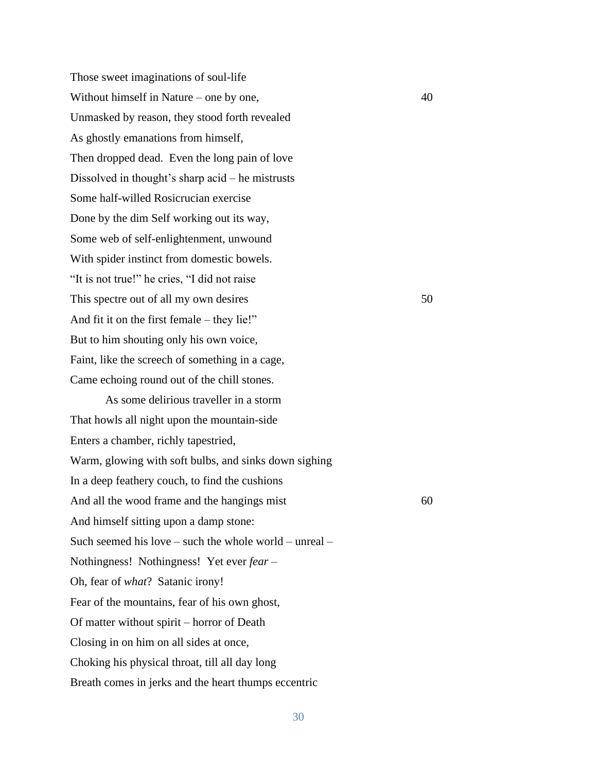Those sweet imaginations of soul-life Without himself in Nature – one by one, 40 Unmasked by reason, they stood forth revealed As ghostly emanations from himself, Then dropped dead. Even the long pain of love Dissolved in thought's sharp acid – he mistrusts Some half-willed Rosicrucian exercise Done by the dim Self working out its way, Some web of self-enlightenment, unwound With spider instinct from domestic bowels. "It is not true!" he cries, "I did not raise This spectre out of all my own desires 50 And fit it on the first female – they lie!" But to him shouting only his own voice, Faint, like the screech of something in a cage, Came echoing round out of the chill stones.

As some delirious traveller in a storm That howls all night upon the mountain-side Enters a chamber, richly tapestried, Warm, glowing with soft bulbs, and sinks down sighing In a deep feathery couch, to find the cushions And all the wood frame and the hangings mist 60 And himself sitting upon a damp stone: Such seemed his love – such the whole world – unreal – Nothingness! Nothingness! Yet ever *fear* – Oh, fear of *what*? Satanic irony! Fear of the mountains, fear of his own ghost, Of matter without spirit – horror of Death Closing in on him on all sides at once, Choking his physical throat, till all day long Breath comes in jerks and the heart thumps eccentric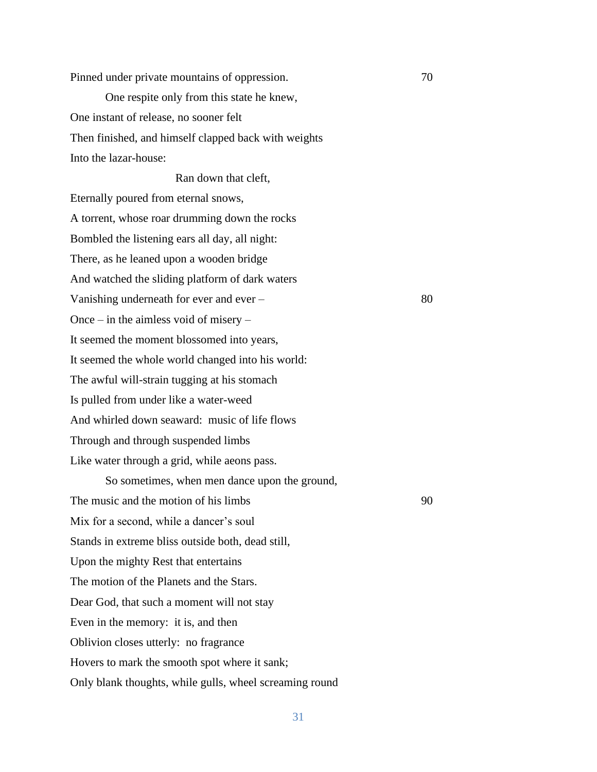Pinned under private mountains of oppression. 70 One respite only from this state he knew, One instant of release, no sooner felt Then finished, and himself clapped back with weights Into the lazar-house:

Ran down that cleft, Eternally poured from eternal snows, A torrent, whose roar drumming down the rocks Bombled the listening ears all day, all night: There, as he leaned upon a wooden bridge And watched the sliding platform of dark waters Vanishing underneath for ever and ever – 80 Once – in the aimless void of misery – It seemed the moment blossomed into years, It seemed the whole world changed into his world: The awful will-strain tugging at his stomach Is pulled from under like a water-weed And whirled down seaward: music of life flows Through and through suspended limbs Like water through a grid, while aeons pass.

So sometimes, when men dance upon the ground, The music and the motion of his limbs 90 Mix for a second, while a dancer's soul Stands in extreme bliss outside both, dead still, Upon the mighty Rest that entertains The motion of the Planets and the Stars. Dear God, that such a moment will not stay Even in the memory: it is, and then Oblivion closes utterly: no fragrance Hovers to mark the smooth spot where it sank; Only blank thoughts, while gulls, wheel screaming round

31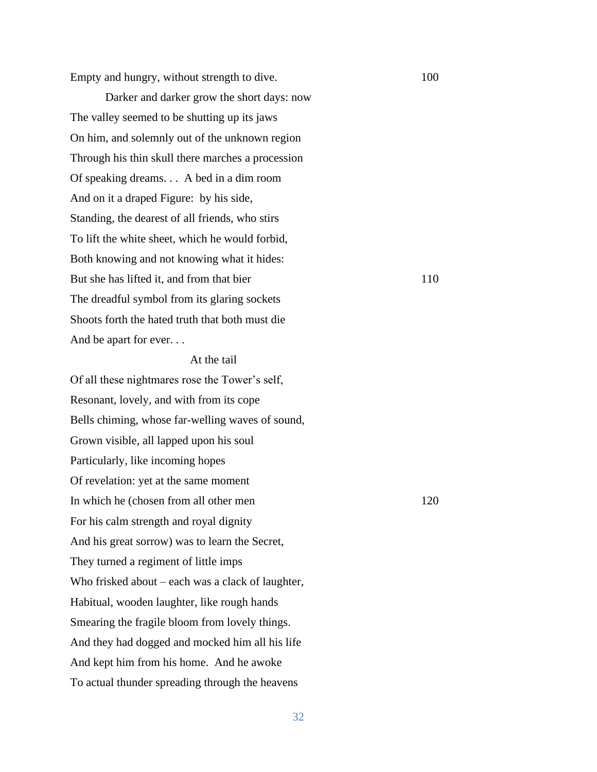Empty and hungry, without strength to dive. 100

Darker and darker grow the short days: now The valley seemed to be shutting up its jaws On him, and solemnly out of the unknown region Through his thin skull there marches a procession Of speaking dreams. . . A bed in a dim room And on it a draped Figure: by his side, Standing, the dearest of all friends, who stirs To lift the white sheet, which he would forbid, Both knowing and not knowing what it hides: But she has lifted it, and from that bier 110 The dreadful symbol from its glaring sockets Shoots forth the hated truth that both must die And be apart for ever. . .

## At the tail

Of all these nightmares rose the Tower's self, Resonant, lovely, and with from its cope Bells chiming, whose far-welling waves of sound, Grown visible, all lapped upon his soul Particularly, like incoming hopes Of revelation: yet at the same moment In which he (chosen from all other men 120 For his calm strength and royal dignity And his great sorrow) was to learn the Secret, They turned a regiment of little imps Who frisked about – each was a clack of laughter, Habitual, wooden laughter, like rough hands Smearing the fragile bloom from lovely things. And they had dogged and mocked him all his life And kept him from his home. And he awoke To actual thunder spreading through the heavens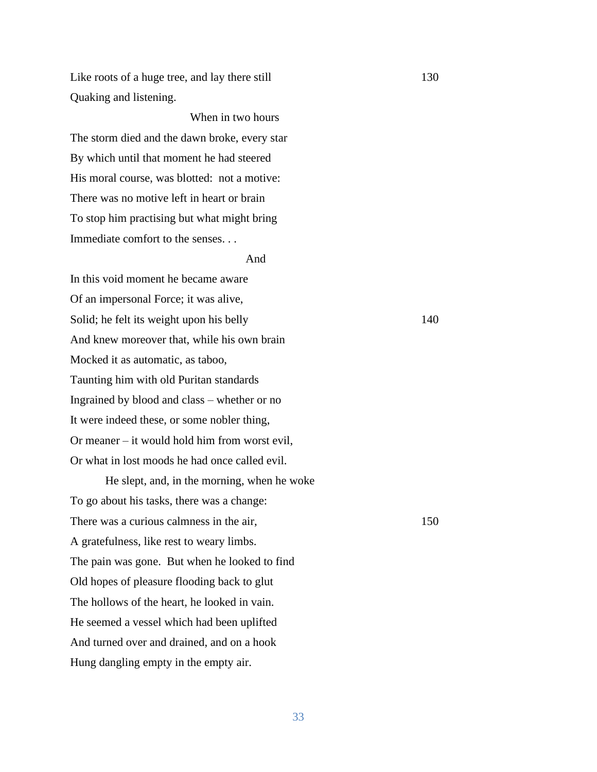Like roots of a huge tree, and lay there still 130 Quaking and listening.

 When in two hours The storm died and the dawn broke, every star By which until that moment he had steered His moral course, was blotted: not a motive: There was no motive left in heart or brain To stop him practising but what might bring Immediate comfort to the senses. . .

## And

In this void moment he became aware Of an impersonal Force; it was alive, Solid; he felt its weight upon his belly 140 And knew moreover that, while his own brain Mocked it as automatic, as taboo, Taunting him with old Puritan standards Ingrained by blood and class – whether or no It were indeed these, or some nobler thing, Or meaner – it would hold him from worst evil, Or what in lost moods he had once called evil.

He slept, and, in the morning, when he woke To go about his tasks, there was a change: There was a curious calmness in the air, 150 A gratefulness, like rest to weary limbs. The pain was gone. But when he looked to find Old hopes of pleasure flooding back to glut The hollows of the heart, he looked in vain. He seemed a vessel which had been uplifted And turned over and drained, and on a hook Hung dangling empty in the empty air.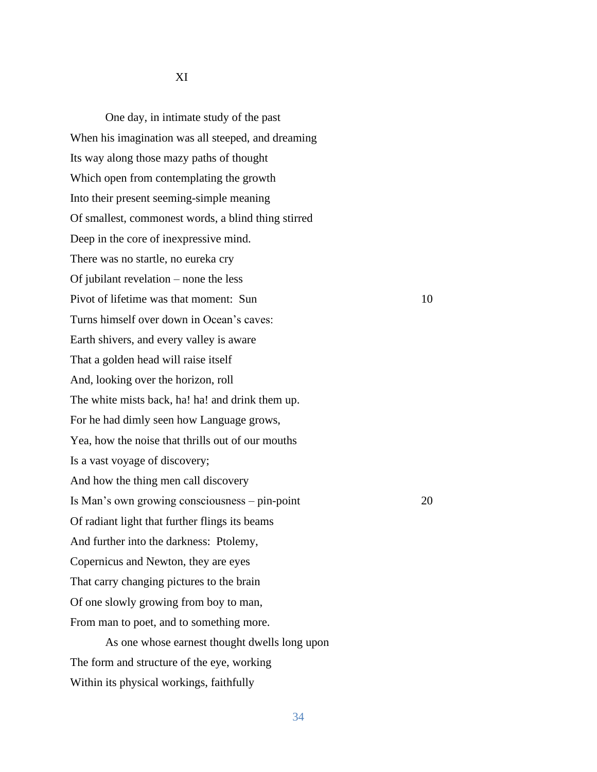One day, in intimate study of the past When his imagination was all steeped, and dreaming Its way along those mazy paths of thought Which open from contemplating the growth Into their present seeming-simple meaning Of smallest, commonest words, a blind thing stirred Deep in the core of inexpressive mind. There was no startle, no eureka cry Of jubilant revelation – none the less Pivot of lifetime was that moment: Sun 10 Turns himself over down in Ocean's caves: Earth shivers, and every valley is aware That a golden head will raise itself And, looking over the horizon, roll The white mists back, ha! ha! and drink them up. For he had dimly seen how Language grows, Yea, how the noise that thrills out of our mouths Is a vast voyage of discovery; And how the thing men call discovery Is Man's own growing consciousness – pin-point 20 Of radiant light that further flings its beams And further into the darkness: Ptolemy, Copernicus and Newton, they are eyes That carry changing pictures to the brain Of one slowly growing from boy to man, From man to poet, and to something more. As one whose earnest thought dwells long upon

The form and structure of the eye, working

Within its physical workings, faithfully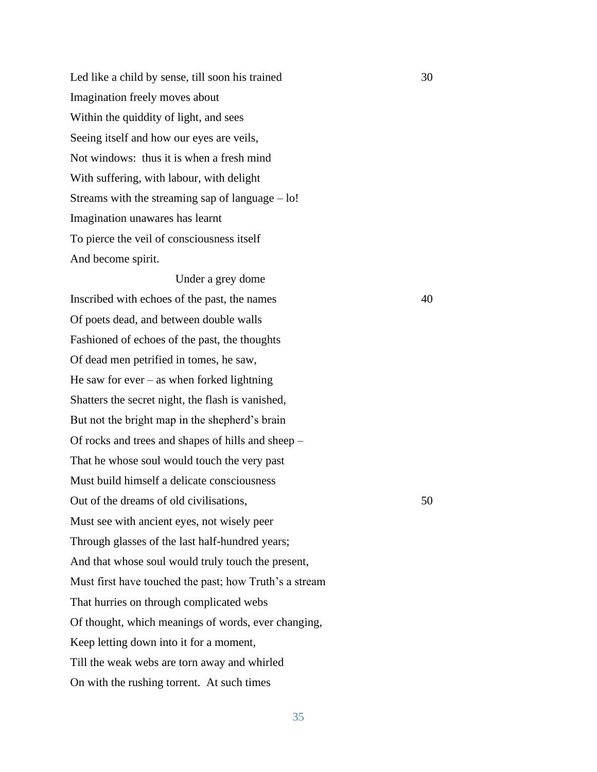Led like a child by sense, till soon his trained 30 Imagination freely moves about Within the quiddity of light, and sees Seeing itself and how our eyes are veils, Not windows: thus it is when a fresh mind With suffering, with labour, with delight Streams with the streaming sap of language  $-$  lo! Imagination unawares has learnt To pierce the veil of consciousness itself And become spirit.

Under a grey dome Inscribed with echoes of the past, the names 40 Of poets dead, and between double walls Fashioned of echoes of the past, the thoughts Of dead men petrified in tomes, he saw, He saw for ever – as when forked lightning Shatters the secret night, the flash is vanished, But not the bright map in the shepherd's brain Of rocks and trees and shapes of hills and sheep – That he whose soul would touch the very past Must build himself a delicate consciousness Out of the dreams of old civilisations, 50 Must see with ancient eyes, not wisely peer Through glasses of the last half-hundred years; And that whose soul would truly touch the present, Must first have touched the past; how Truth's a stream That hurries on through complicated webs Of thought, which meanings of words, ever changing, Keep letting down into it for a moment, Till the weak webs are torn away and whirled On with the rushing torrent. At such times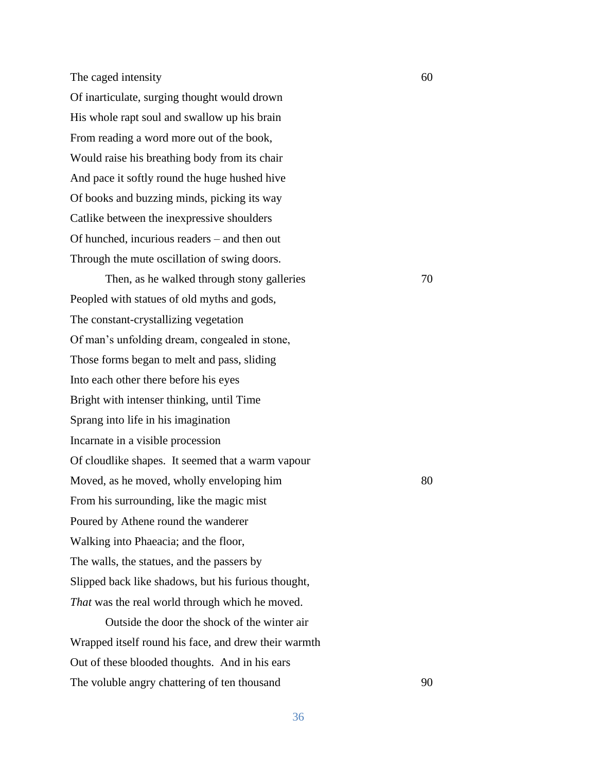The caged intensity 60

Of inarticulate, surging thought would drown His whole rapt soul and swallow up his brain From reading a word more out of the book, Would raise his breathing body from its chair And pace it softly round the huge hushed hive Of books and buzzing minds, picking its way Catlike between the inexpressive shoulders Of hunched, incurious readers – and then out Through the mute oscillation of swing doors.

Then, as he walked through stony galleries  $70$ Peopled with statues of old myths and gods, The constant-crystallizing vegetation Of man's unfolding dream, congealed in stone, Those forms began to melt and pass, sliding Into each other there before his eyes Bright with intenser thinking, until Time Sprang into life in his imagination Incarnate in a visible procession Of cloudlike shapes. It seemed that a warm vapour Moved, as he moved, wholly enveloping him 80 From his surrounding, like the magic mist Poured by Athene round the wanderer Walking into Phaeacia; and the floor, The walls, the statues, and the passers by Slipped back like shadows, but his furious thought, *That* was the real world through which he moved.

Outside the door the shock of the winter air Wrapped itself round his face, and drew their warmth Out of these blooded thoughts. And in his ears The voluble angry chattering of ten thousand 90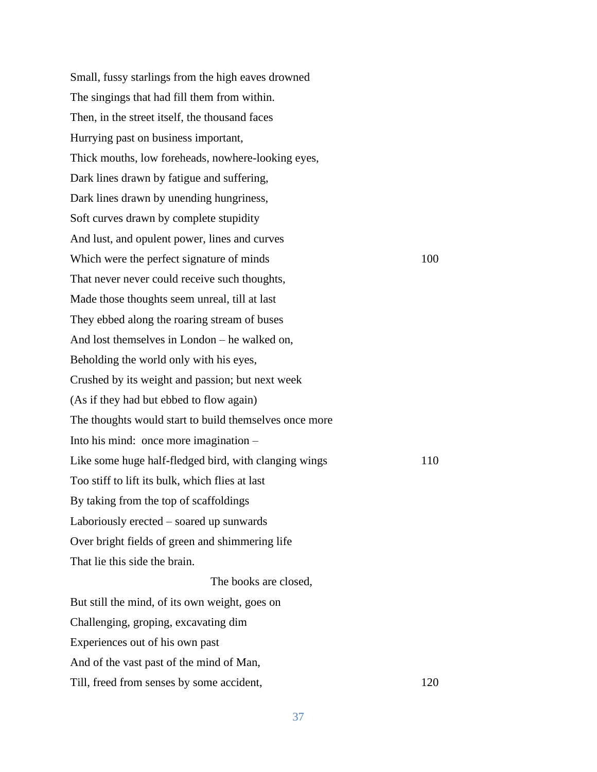Small, fussy starlings from the high eaves drowned The singings that had fill them from within. Then, in the street itself, the thousand faces Hurrying past on business important, Thick mouths, low foreheads, nowhere-looking eyes, Dark lines drawn by fatigue and suffering, Dark lines drawn by unending hungriness, Soft curves drawn by complete stupidity And lust, and opulent power, lines and curves Which were the perfect signature of minds 100 That never never could receive such thoughts, Made those thoughts seem unreal, till at last They ebbed along the roaring stream of buses And lost themselves in London – he walked on, Beholding the world only with his eyes, Crushed by its weight and passion; but next week (As if they had but ebbed to flow again) The thoughts would start to build themselves once more Into his mind: once more imagination – Like some huge half-fledged bird, with clanging wings 110 Too stiff to lift its bulk, which flies at last By taking from the top of scaffoldings Laboriously erected – soared up sunwards Over bright fields of green and shimmering life That lie this side the brain. The books are closed, But still the mind, of its own weight, goes on Challenging, groping, excavating dim Experiences out of his own past And of the vast past of the mind of Man, Till, freed from senses by some accident, 120

37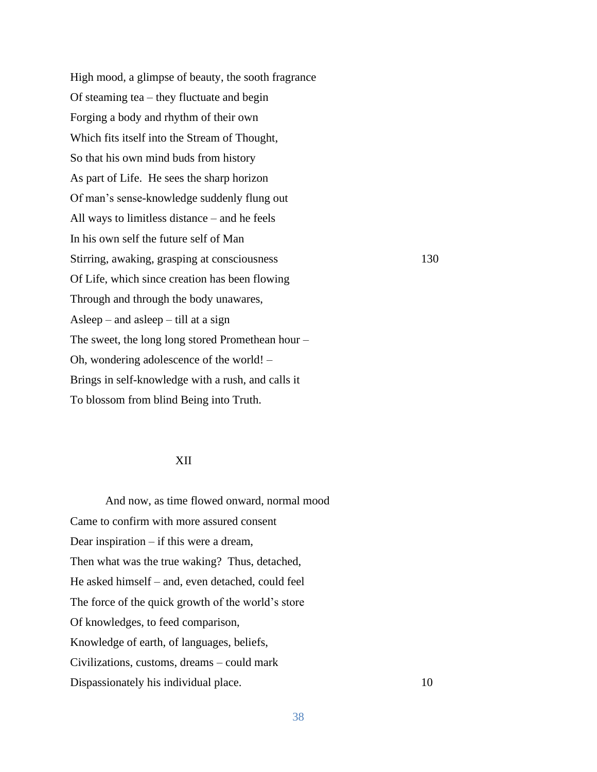High mood, a glimpse of beauty, the sooth fragrance Of steaming tea – they fluctuate and begin Forging a body and rhythm of their own Which fits itself into the Stream of Thought, So that his own mind buds from history As part of Life. He sees the sharp horizon Of man's sense-knowledge suddenly flung out All ways to limitless distance – and he feels In his own self the future self of Man Stirring, awaking, grasping at consciousness 130 Of Life, which since creation has been flowing Through and through the body unawares, Asleep – and asleep – till at a sign The sweet, the long long stored Promethean hour – Oh, wondering adolescence of the world! – Brings in self-knowledge with a rush, and calls it To blossom from blind Being into Truth.

## XII

And now, as time flowed onward, normal mood Came to confirm with more assured consent Dear inspiration – if this were a dream, Then what was the true waking? Thus, detached, He asked himself – and, even detached, could feel The force of the quick growth of the world's store Of knowledges, to feed comparison, Knowledge of earth, of languages, beliefs, Civilizations, customs, dreams – could mark Dispassionately his individual place. 10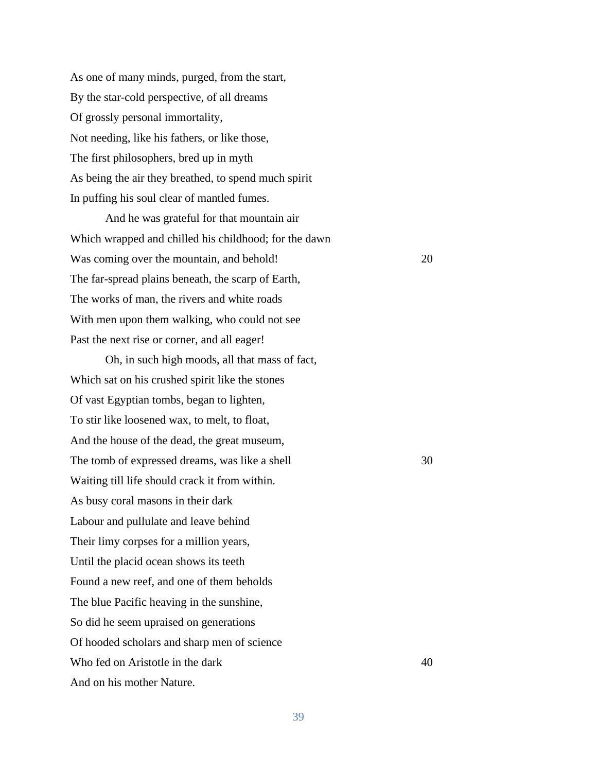As one of many minds, purged, from the start, By the star-cold perspective, of all dreams Of grossly personal immortality, Not needing, like his fathers, or like those, The first philosophers, bred up in myth As being the air they breathed, to spend much spirit In puffing his soul clear of mantled fumes.

And he was grateful for that mountain air Which wrapped and chilled his childhood; for the dawn Was coming over the mountain, and behold! 20 The far-spread plains beneath, the scarp of Earth, The works of man, the rivers and white roads With men upon them walking, who could not see Past the next rise or corner, and all eager!

Oh, in such high moods, all that mass of fact, Which sat on his crushed spirit like the stones Of vast Egyptian tombs, began to lighten, To stir like loosened wax, to melt, to float, And the house of the dead, the great museum, The tomb of expressed dreams, was like a shell 30 Waiting till life should crack it from within. As busy coral masons in their dark Labour and pullulate and leave behind Their limy corpses for a million years, Until the placid ocean shows its teeth Found a new reef, and one of them beholds The blue Pacific heaving in the sunshine, So did he seem upraised on generations Of hooded scholars and sharp men of science Who fed on Aristotle in the dark 40 And on his mother Nature.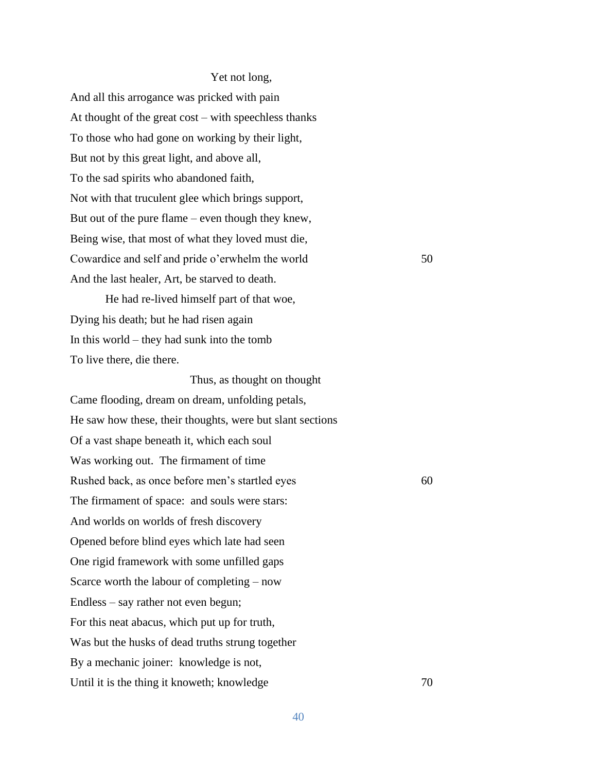## Yet not long,

And all this arrogance was pricked with pain At thought of the great cost – with speechless thanks To those who had gone on working by their light, But not by this great light, and above all, To the sad spirits who abandoned faith, Not with that truculent glee which brings support, But out of the pure flame – even though they knew, Being wise, that most of what they loved must die, Cowardice and self and pride o'erwhelm the world 50 And the last healer, Art, be starved to death.

He had re-lived himself part of that woe, Dying his death; but he had risen again In this world – they had sunk into the tomb To live there, die there.

 Thus, as thought on thought Came flooding, dream on dream, unfolding petals, He saw how these, their thoughts, were but slant sections Of a vast shape beneath it, which each soul Was working out. The firmament of time Rushed back, as once before men's startled eyes 60 The firmament of space: and souls were stars: And worlds on worlds of fresh discovery Opened before blind eyes which late had seen One rigid framework with some unfilled gaps Scarce worth the labour of completing – now Endless – say rather not even begun; For this neat abacus, which put up for truth, Was but the husks of dead truths strung together By a mechanic joiner: knowledge is not, Until it is the thing it knoweth; knowledge 70

40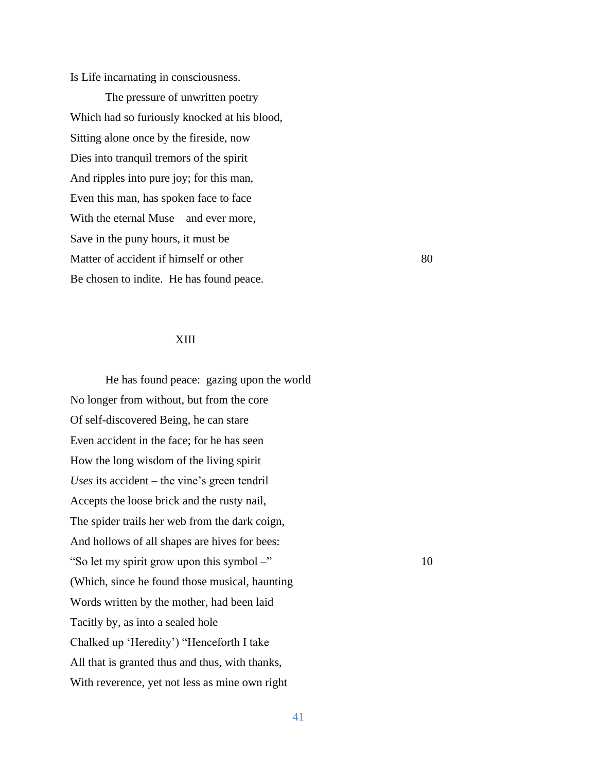Is Life incarnating in consciousness.

The pressure of unwritten poetry Which had so furiously knocked at his blood, Sitting alone once by the fireside, now Dies into tranquil tremors of the spirit And ripples into pure joy; for this man, Even this man, has spoken face to face With the eternal Muse – and ever more, Save in the puny hours, it must be Matter of accident if himself or other 80 Be chosen to indite. He has found peace.

## XIII

He has found peace: gazing upon the world No longer from without, but from the core Of self-discovered Being, he can stare Even accident in the face; for he has seen How the long wisdom of the living spirit *Uses* its accident – the vine's green tendril Accepts the loose brick and the rusty nail, The spider trails her web from the dark coign, And hollows of all shapes are hives for bees: "So let my spirit grow upon this symbol –" 10 (Which, since he found those musical, haunting Words written by the mother, had been laid Tacitly by, as into a sealed hole Chalked up 'Heredity') "Henceforth I take All that is granted thus and thus, with thanks, With reverence, yet not less as mine own right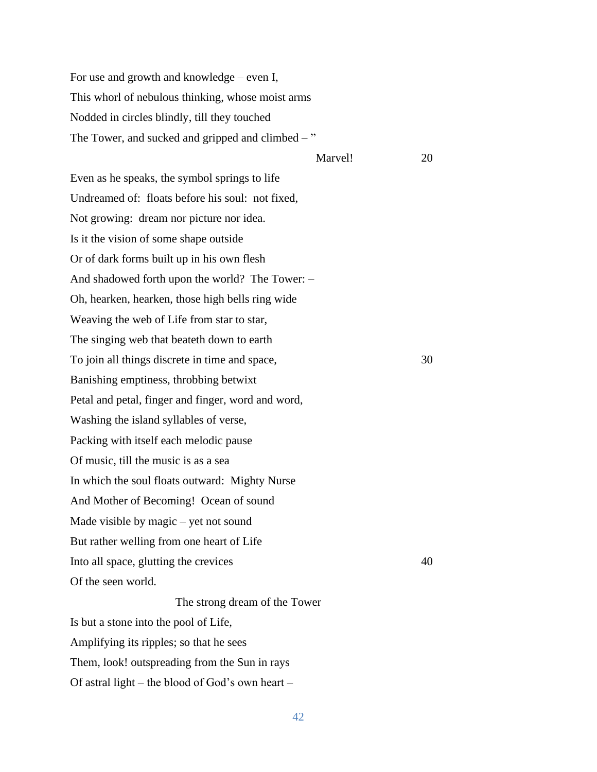For use and growth and knowledge – even I, This whorl of nebulous thinking, whose moist arms Nodded in circles blindly, till they touched The Tower, and sucked and gripped and climbed  $-$ "

Marvel! 20

Even as he speaks, the symbol springs to life Undreamed of: floats before his soul: not fixed, Not growing: dream nor picture nor idea. Is it the vision of some shape outside Or of dark forms built up in his own flesh And shadowed forth upon the world? The Tower: – Oh, hearken, hearken, those high bells ring wide Weaving the web of Life from star to star, The singing web that beateth down to earth To join all things discrete in time and space,  $30$ Banishing emptiness, throbbing betwixt Petal and petal, finger and finger, word and word, Washing the island syllables of verse, Packing with itself each melodic pause Of music, till the music is as a sea In which the soul floats outward: Mighty Nurse And Mother of Becoming! Ocean of sound Made visible by magic – yet not sound But rather welling from one heart of Life Into all space, glutting the crevices 40 Of the seen world.

The strong dream of the Tower Is but a stone into the pool of Life, Amplifying its ripples; so that he sees Them, look! outspreading from the Sun in rays Of astral light – the blood of God's own heart –

42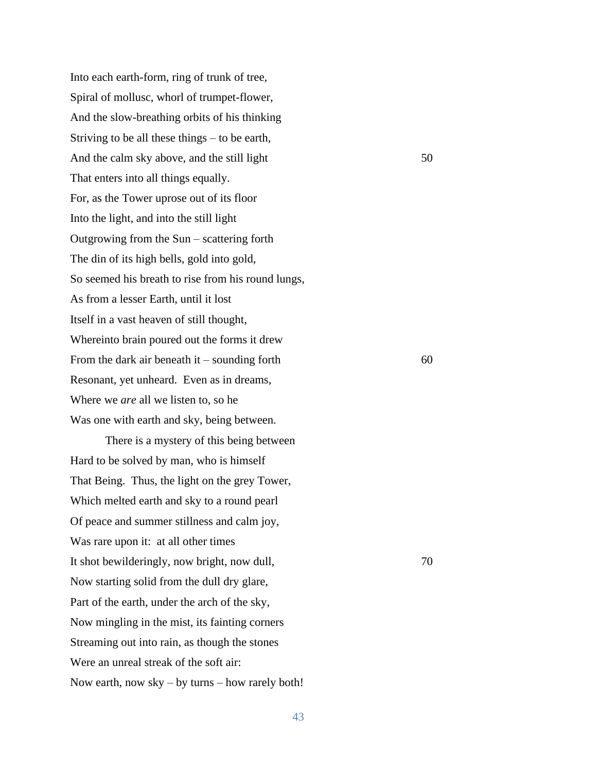Into each earth-form, ring of trunk of tree, Spiral of mollusc, whorl of trumpet-flower, And the slow-breathing orbits of his thinking Striving to be all these things – to be earth, And the calm sky above, and the still light 50 That enters into all things equally. For, as the Tower uprose out of its floor Into the light, and into the still light Outgrowing from the Sun – scattering forth The din of its high bells, gold into gold, So seemed his breath to rise from his round lungs, As from a lesser Earth, until it lost Itself in a vast heaven of still thought, Whereinto brain poured out the forms it drew From the dark air beneath it – sounding forth  $60$ Resonant, yet unheard. Even as in dreams, Where we *are* all we listen to, so he Was one with earth and sky, being between.

There is a mystery of this being between Hard to be solved by man, who is himself That Being. Thus, the light on the grey Tower, Which melted earth and sky to a round pearl Of peace and summer stillness and calm joy, Was rare upon it: at all other times It shot bewilderingly, now bright, now dull,  $\frac{70}{20}$ Now starting solid from the dull dry glare, Part of the earth, under the arch of the sky, Now mingling in the mist, its fainting corners Streaming out into rain, as though the stones Were an unreal streak of the soft air: Now earth, now sky – by turns – how rarely both!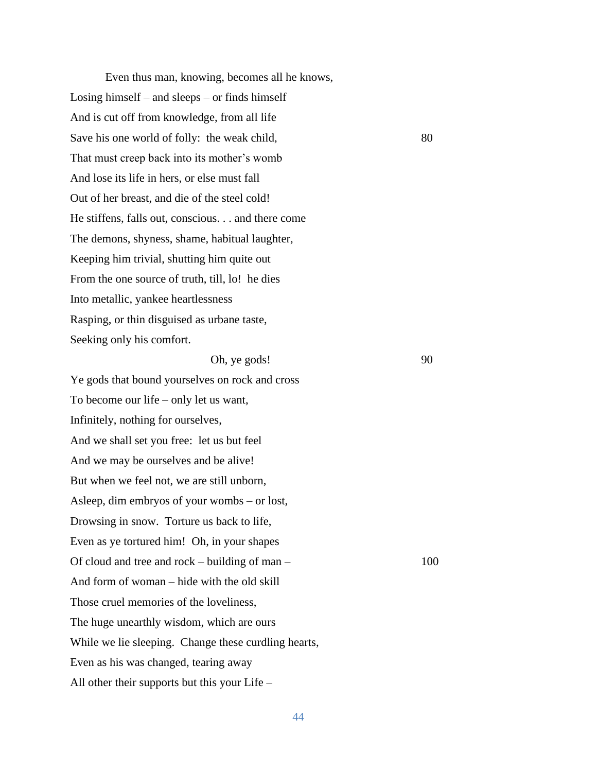Even thus man, knowing, becomes all he knows, Losing himself – and sleeps – or finds himself And is cut off from knowledge, from all life Save his one world of folly: the weak child, 80 That must creep back into its mother's womb And lose its life in hers, or else must fall Out of her breast, and die of the steel cold! He stiffens, falls out, conscious. . . and there come The demons, shyness, shame, habitual laughter, Keeping him trivial, shutting him quite out From the one source of truth, till, lo! he dies Into metallic, yankee heartlessness Rasping, or thin disguised as urbane taste, Seeking only his comfort.

Oh, ye gods! 90

Ye gods that bound yourselves on rock and cross To become our life – only let us want, Infinitely, nothing for ourselves, And we shall set you free: let us but feel And we may be ourselves and be alive! But when we feel not, we are still unborn, Asleep, dim embryos of your wombs – or lost, Drowsing in snow. Torture us back to life, Even as ye tortured him! Oh, in your shapes Of cloud and tree and rock – building of man –  $100$ And form of woman – hide with the old skill Those cruel memories of the loveliness, The huge unearthly wisdom, which are ours While we lie sleeping. Change these curdling hearts, Even as his was changed, tearing away All other their supports but this your Life –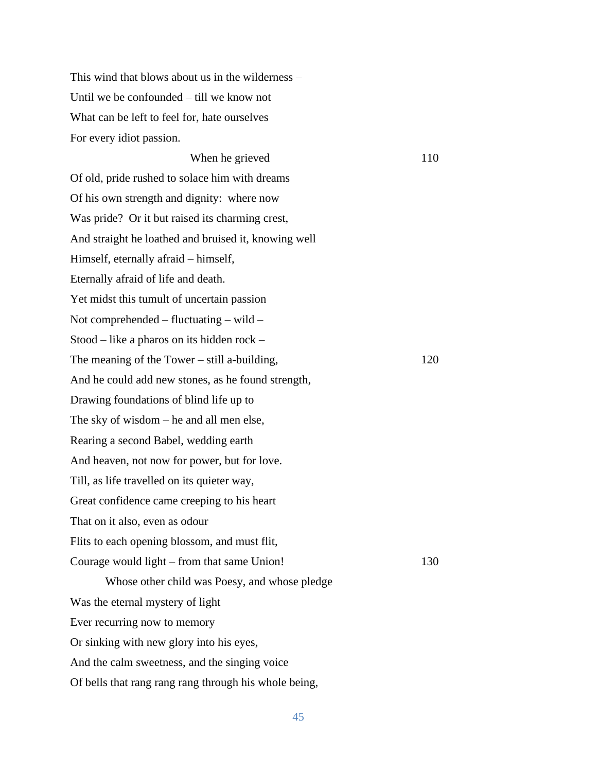This wind that blows about us in the wilderness – Until we be confounded – till we know not What can be left to feel for, hate ourselves For every idiot passion.

When he grieved 110 Of old, pride rushed to solace him with dreams Of his own strength and dignity: where now Was pride? Or it but raised its charming crest, And straight he loathed and bruised it, knowing well Himself, eternally afraid – himself, Eternally afraid of life and death. Yet midst this tumult of uncertain passion Not comprehended – fluctuating – wild – Stood – like a pharos on its hidden rock – The meaning of the Tower – still a-building,  $120$ And he could add new stones, as he found strength, Drawing foundations of blind life up to The sky of wisdom – he and all men else, Rearing a second Babel, wedding earth And heaven, not now for power, but for love. Till, as life travelled on its quieter way, Great confidence came creeping to his heart That on it also, even as odour Flits to each opening blossom, and must flit, Courage would light – from that same Union! 130 Whose other child was Poesy, and whose pledge Was the eternal mystery of light Ever recurring now to memory Or sinking with new glory into his eyes, And the calm sweetness, and the singing voice Of bells that rang rang rang through his whole being,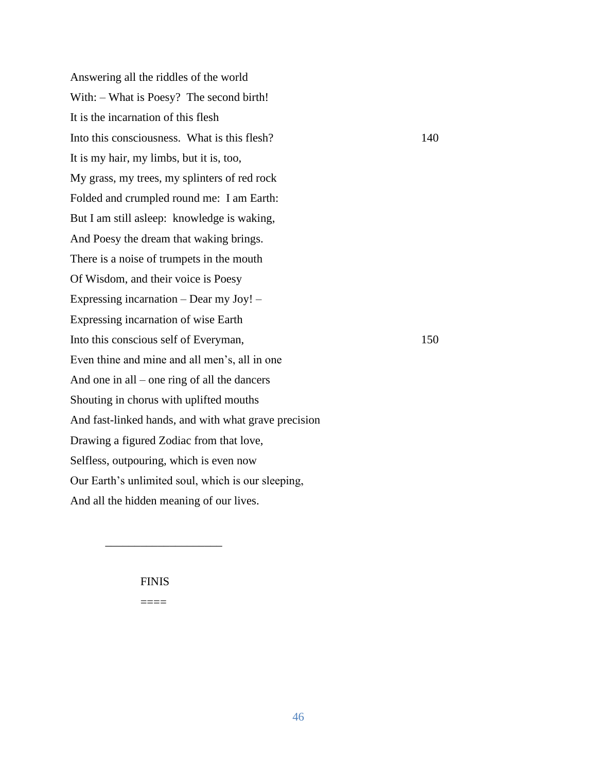Answering all the riddles of the world With: – What is Poesy? The second birth! It is the incarnation of this flesh Into this consciousness. What is this flesh? 140 It is my hair, my limbs, but it is, too, My grass, my trees, my splinters of red rock Folded and crumpled round me: I am Earth: But I am still asleep: knowledge is waking, And Poesy the dream that waking brings. There is a noise of trumpets in the mouth Of Wisdom, and their voice is Poesy Expressing incarnation – Dear my Joy! – Expressing incarnation of wise Earth Into this conscious self of Everyman, 150 Even thine and mine and all men's, all in one And one in all – one ring of all the dancers Shouting in chorus with uplifted mouths And fast-linked hands, and with what grave precision Drawing a figured Zodiac from that love, Selfless, outpouring, which is even now Our Earth's unlimited soul, which is our sleeping, And all the hidden meaning of our lives.

## FINIS

\_\_\_\_\_\_\_\_\_\_\_\_\_\_\_\_\_\_\_\_

====